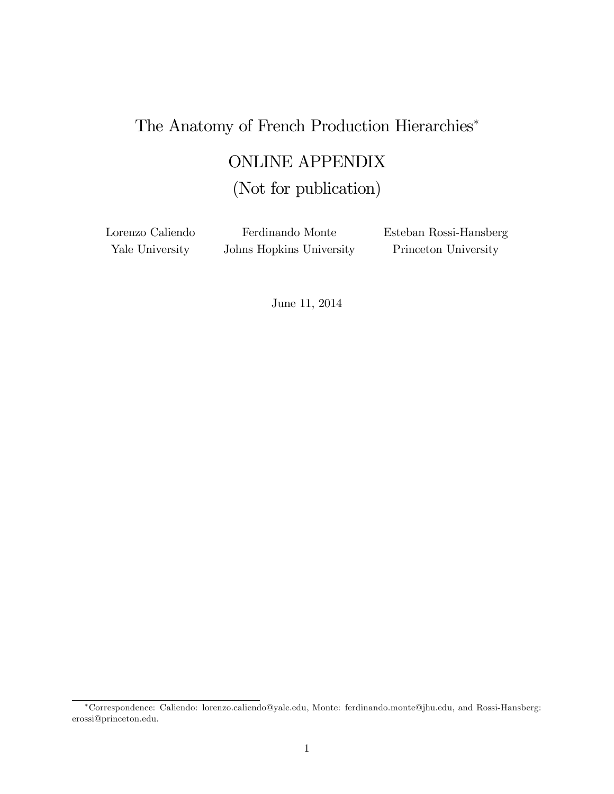# The Anatomy of French Production Hierarchies

# ONLINE APPENDIX

# (Not for publication)

Lorenzo Caliendo Yale University

Ferdinando Monte Johns Hopkins University Esteban Rossi-Hansberg Princeton University

June 11, 2014

Correspondence: Caliendo: lorenzo.caliendo@yale.edu, Monte: ferdinando.monte@jhu.edu, and Rossi-Hansberg: erossi@princeton.edu.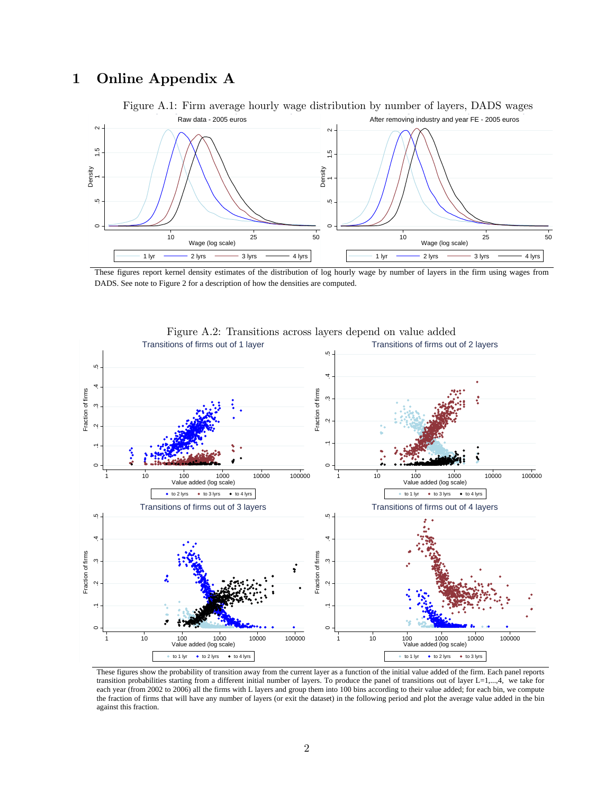# 1 Online Appendix A



These figures report kernel density estimates of the distribution of log hourly wage by number of layers in the firm using wages from DADS. See note to Figure 2 for a description of how the densities are computed.



Figure A.2: Transitions across layers depend on value added

These figures show the probability of transition away from the current layer as a function of the initial value added of the firm. Each panel reports transition probabilities starting from a different initial number of layers. To produce the panel of transitions out of layer L=1,...,4, we take for each year (from 2002 to 2006) all the firms with L layers and group them into 100 bins according to their value added; for each bin, we compute the fraction of firms that will have any number of layers (or exit the dataset) in the following period and plot the average value added in the bin against this fraction.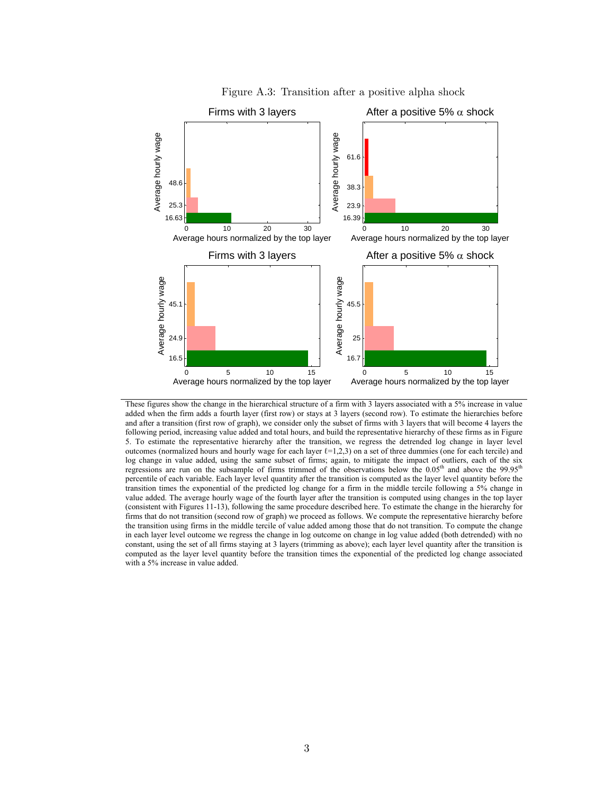

Figure A.3: Transition after a positive alpha shock

These figures show the change in the hierarchical structure of a firm with 3 layers associated with a 5% increase in value added when the firm adds a fourth layer (first row) or stays at 3 layers (second row). To estimate the hierarchies before and after a transition (first row of graph), we consider only the subset of firms with 3 layers that will become 4 layers the following period, increasing value added and total hours, and build the representative hierarchy of these firms as in Figure 5. To estimate the representative hierarchy after the transition, we regress the detrended log change in layer level outcomes (normalized hours and hourly wage for each layer  $\ell=1,2,3$ ) on a set of three dummies (one for each tercile) and log change in value added, using the same subset of firms; again, to mitigate the impact of outliers, each of the six regressions are run on the subsample of firms trimmed of the observations below the 0.05<sup>th</sup> and above the 99.95<sup>th</sup> percentile of each variable. Each layer level quantity after the transition is computed as the layer level quantity before the transition times the exponential of the predicted log change for a firm in the middle tercile following a 5% change in value added. The average hourly wage of the fourth layer after the transition is computed using changes in the top layer (consistent with Figures 11-13), following the same procedure described here. To estimate the change in the hierarchy for firms that do not transition (second row of graph) we proceed as follows. We compute the representative hierarchy before the transition using firms in the middle tercile of value added among those that do not transition. To compute the change in each layer level outcome we regress the change in log outcome on change in log value added (both detrended) with no constant, using the set of all firms staying at 3 layers (trimming as above); each layer level quantity after the transition is computed as the layer level quantity before the transition times the exponential of the predicted log change associated with a 5% increase in value added.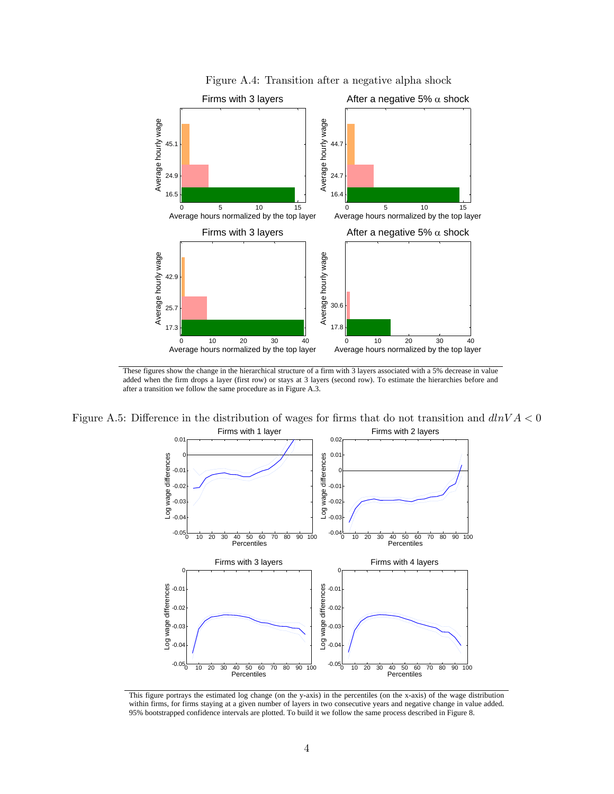

Figure A.4: Transition after a negative alpha shock

These figures show the change in the hierarchical structure of a firm with 3 layers associated with a 5% decrease in value added when the firm drops a layer (first row) or stays at 3 layers (second row). To estimate the hierarchies before and after a transition we follow the same procedure as in Figure A.3.

Figure A.5: Difference in the distribution of wages for firms that do not transition and  $dlnVA < 0$ Firms with 1 layer Firms with 2 layers



This figure portrays the estimated log change (on the y-axis) in the percentiles (on the x-axis) of the wage distribution within firms, for firms staying at a given number of layers in two consecutive years and negative change in value added. 95% bootstrapped confidence intervals are plotted. To build it we follow the same process described in Figure 8.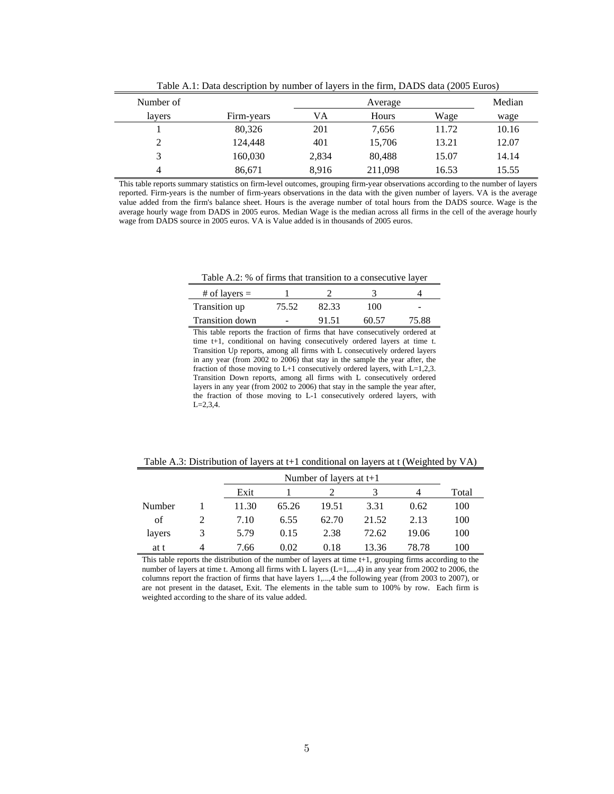|           |            |         | $\frac{1}{2}$ . The contract of $\frac{1}{2}$ is the station of $\frac{1}{2}$ . The contract $\frac{1}{2}$ is the contract of $\frac{1}{2}$ |       |        |
|-----------|------------|---------|---------------------------------------------------------------------------------------------------------------------------------------------|-------|--------|
| Number of |            | Average |                                                                                                                                             |       | Median |
| lavers    | Firm-years | VA      | Hours                                                                                                                                       | Wage  | wage   |
|           | 80,326     | 201     | 7.656                                                                                                                                       | 11.72 | 10.16  |
|           | 124,448    | 401     | 15,706                                                                                                                                      | 13.21 | 12.07  |
|           | 160,030    | 2,834   | 80,488                                                                                                                                      | 15.07 | 14.14  |
|           | 86,671     | 8,916   | 211,098                                                                                                                                     | 16.53 | 15.55  |

Table A.1: Data description by number of layers in the firm, DADS data (2005 Euros)

This table reports summary statistics on firm-level outcomes, grouping firm-year observations according to the number of layers reported. Firm-years is the number of firm-years observations in the data with the given number of layers. VA is the average value added from the firm's balance sheet. Hours is the average number of total hours from the DADS source. Wage is the average hourly wage from DADS in 2005 euros. Median Wage is the median across all firms in the cell of the average hourly wage from DADS source in 2005 euros. VA is Value added is in thousands of 2005 euros.

Table A.2: % of firms that transition to a consecutive layer

| # of layers $=$ |       |       |       |                          |
|-----------------|-------|-------|-------|--------------------------|
| Transition up   | 75.52 | 82.33 | 100.  | $\overline{\phantom{a}}$ |
| Transition down |       | 91.51 | 60.57 | 75.88                    |

This table reports the fraction of firms that have consecutively ordered at time t+1, conditional on having consecutively ordered layers at time t. Transition Up reports, among all firms with L consecutively ordered layers in any year (from 2002 to 2006) that stay in the sample the year after, the fraction of those moving to L+1 consecutively ordered layers, with L=1,2,3. Transition Down reports, among all firms with L consecutively ordered layers in any year (from 2002 to 2006) that stay in the sample the year after, the fraction of those moving to L-1 consecutively ordered layers, with L=2,3,4.

Table A.3: Distribution of layers at t+1 conditional on layers at t (Weighted by VA)

|        |   |       | Number of layers at $t+1$ |       |       |       |       |  |  |
|--------|---|-------|---------------------------|-------|-------|-------|-------|--|--|
|        |   | Exit  |                           |       |       |       | Total |  |  |
| Number |   | 11.30 | 65.26                     | 19.51 | 3.31  | 0.62  | 100   |  |  |
| οf     |   | 7.10  | 6.55                      | 62.70 | 21.52 | 2.13  | 100   |  |  |
| layers | 3 | 5.79  | 0.15                      | 2.38  | 72.62 | 19.06 | 100   |  |  |
| at t   | 4 | 7.66  | 0.02                      | 0.18  | 13.36 | 78.78 | 100   |  |  |

This table reports the distribution of the number of layers at time t+1, grouping firms according to the number of layers at time t. Among all firms with L layers (L=1,...,4) in any year from 2002 to 2006, the columns report the fraction of firms that have layers 1,...,4 the following year (from 2003 to 2007), or are not present in the dataset, Exit. The elements in the table sum to 100% by row. Each firm is weighted according to the share of its value added.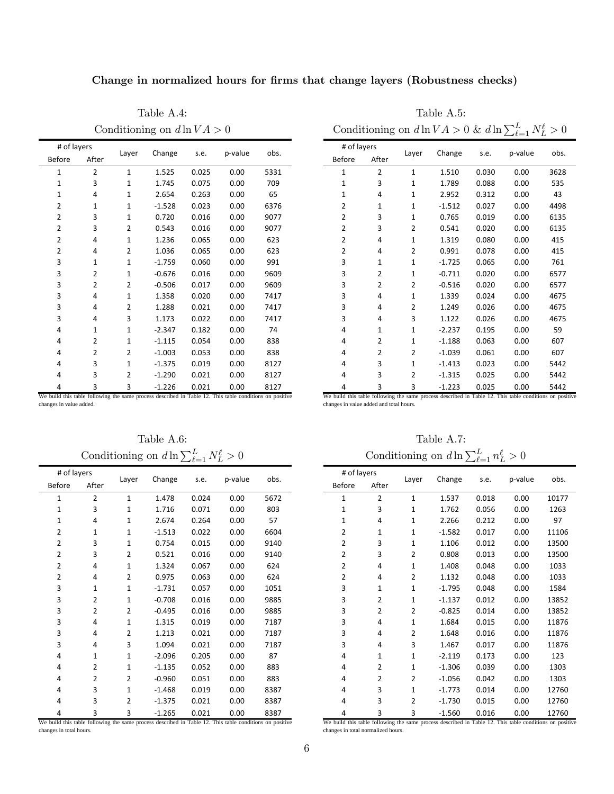Change in normalized hours for firms that change layers (Robustness checks)

Table A.4: Table A.5:

| # of layers    |                |                |          |       |         |      |
|----------------|----------------|----------------|----------|-------|---------|------|
| <b>Before</b>  | After          | Layer          | Change   | s.e.  | p-value | obs. |
| $\mathbf{1}$   | $\overline{2}$ | $\mathbf{1}$   | 1.525    | 0.025 | 0.00    | 5331 |
| 1              | 3              | $\mathbf{1}$   | 1.745    | 0.075 | 0.00    | 709  |
| $\mathbf{1}$   | 4              | $\mathbf{1}$   | 2.654    | 0.263 | 0.00    | 65   |
| 2              | $\mathbf{1}$   | $\mathbf{1}$   | $-1.528$ | 0.023 | 0.00    | 6376 |
| 2              | 3              | $\mathbf{1}$   | 0.720    | 0.016 | 0.00    | 9077 |
| 2              | 3              | $\overline{2}$ | 0.543    | 0.016 | 0.00    | 9077 |
| $\overline{2}$ | 4              | $\mathbf{1}$   | 1.236    | 0.065 | 0.00    | 623  |
| $\overline{2}$ | 4              | $\overline{2}$ | 1.036    | 0.065 | 0.00    | 623  |
| 3              | $\mathbf{1}$   | $\mathbf{1}$   | $-1.759$ | 0.060 | 0.00    | 991  |
| 3              | 2              | $\mathbf{1}$   | $-0.676$ | 0.016 | 0.00    | 9609 |
| 3              | $\overline{2}$ | $\overline{2}$ | $-0.506$ | 0.017 | 0.00    | 9609 |
| 3              | 4              | $\mathbf{1}$   | 1.358    | 0.020 | 0.00    | 7417 |
| 3              | 4              | $\overline{2}$ | 1.288    | 0.021 | 0.00    | 7417 |
| 3              | 4              | 3              | 1.173    | 0.022 | 0.00    | 7417 |
| 4              | $\mathbf{1}$   | $\mathbf{1}$   | $-2.347$ | 0.182 | 0.00    | 74   |
| 4              | 2              | $\mathbf{1}$   | $-1.115$ | 0.054 | 0.00    | 838  |
| 4              | 2              | 2              | $-1.003$ | 0.053 | 0.00    | 838  |
| 4              | 3              | $\mathbf{1}$   | $-1.375$ | 0.019 | 0.00    | 8127 |
| 4              | 3              | $\overline{2}$ | $-1.290$ | 0.021 | 0.00    | 8127 |
| 4              | 3              | 3              | $-1.226$ | 0.021 | 0.00    | 8127 |

|     |              | Conditioning on $d \ln V A > 0$ |       |         |      |                              |       |              |          |       | Conditioning on $d \ln V A > 0$ & $d \ln \sum_{\ell=1}^{L} N_{L}^{\ell} > 0$ |      |  |
|-----|--------------|---------------------------------|-------|---------|------|------------------------------|-------|--------------|----------|-------|------------------------------------------------------------------------------|------|--|
| ter | Layer        | Change                          | s.e.  | p-value | obs. | # of layers<br><b>Before</b> | After | Layer        | Change   | s.e.  | p-value                                                                      | obs. |  |
|     | $\mathbf{1}$ | 1.525                           | 0.025 | 0.00    | 5331 | 1                            | 2     | $\mathbf{1}$ | 1.510    | 0.030 | 0.00                                                                         | 3628 |  |
|     | 1            | 1.745                           | 0.075 | 0.00    | 709  | 1                            | 3     | 1            | 1.789    | 0.088 | 0.00                                                                         | 535  |  |
|     | $\mathbf{1}$ | 2.654                           | 0.263 | 0.00    | 65   |                              | 4     | 1            | 2.952    | 0.312 | 0.00                                                                         | 43   |  |
|     | 1            | $-1.528$                        | 0.023 | 0.00    | 6376 | 2                            | 1     | 1            | $-1.512$ | 0.027 | 0.00                                                                         | 4498 |  |
|     | $\mathbf{1}$ | 0.720                           | 0.016 | 0.00    | 9077 | 2                            | 3     | 1            | 0.765    | 0.019 | 0.00                                                                         | 6135 |  |
|     | 2            | 0.543                           | 0.016 | 0.00    | 9077 | 2                            | 3     | 2            | 0.541    | 0.020 | 0.00                                                                         | 6135 |  |
|     | 1            | 1.236                           | 0.065 | 0.00    | 623  | 2                            | 4     | 1            | 1.319    | 0.080 | 0.00                                                                         | 415  |  |
|     | 2            | 1.036                           | 0.065 | 0.00    | 623  | 2                            | 4     | 2            | 0.991    | 0.078 | 0.00                                                                         | 415  |  |
|     | 1            | $-1.759$                        | 0.060 | 0.00    | 991  | 3                            | 1     | 1            | $-1.725$ | 0.065 | 0.00                                                                         | 761  |  |
|     | 1            | $-0.676$                        | 0.016 | 0.00    | 9609 | 3                            | 2     | 1            | $-0.711$ | 0.020 | 0.00                                                                         | 6577 |  |
|     | 2            | $-0.506$                        | 0.017 | 0.00    | 9609 | 3                            | 2     | 2            | $-0.516$ | 0.020 | 0.00                                                                         | 6577 |  |
|     | 1            | 1.358                           | 0.020 | 0.00    | 7417 | 3                            | 4     | 1            | 1.339    | 0.024 | 0.00                                                                         | 4675 |  |
|     | 2            | 1.288                           | 0.021 | 0.00    | 7417 | 3                            | 4     | 2            | 1.249    | 0.026 | 0.00                                                                         | 4675 |  |
|     | 3            | 1.173                           | 0.022 | 0.00    | 7417 | 3                            | 4     | 3            | 1.122    | 0.026 | 0.00                                                                         | 4675 |  |
|     | $\mathbf{1}$ | $-2.347$                        | 0.182 | 0.00    | 74   | 4                            | 1     | $\mathbf{1}$ | $-2.237$ | 0.195 | 0.00                                                                         | 59   |  |
|     | $\mathbf{1}$ | $-1.115$                        | 0.054 | 0.00    | 838  | 4                            | 2     | 1            | $-1.188$ | 0.063 | 0.00                                                                         | 607  |  |
|     | 2            | $-1.003$                        | 0.053 | 0.00    | 838  | 4                            | 2     | 2            | $-1.039$ | 0.061 | 0.00                                                                         | 607  |  |
|     | $\mathbf{1}$ | $-1.375$                        | 0.019 | 0.00    | 8127 | 4                            | 3     | 1            | $-1.413$ | 0.023 | 0.00                                                                         | 5442 |  |
|     | 2            | $-1.290$                        | 0.021 | 0.00    | 8127 | 4                            | 3     | 2            | $-1.315$ | 0.025 | 0.00                                                                         | 5442 |  |
|     |              |                                 |       |         |      |                              |       |              |          |       |                                                                              |      |  |

4 3 3 ‐1.223 0.025 0.00 5442 We build this table following the same process described in Table 12. This table conditions on positive We build this table following the same process described in Table 12. This table conditions on positive changes in value added. changes in value added and total hours.

Conditioning on  $d \ln \sum_{\ell=1}^{L} N_{L}^{\ell}$ 

| # of layers    |                |              |          |       |         |      |
|----------------|----------------|--------------|----------|-------|---------|------|
| <b>Before</b>  | After          | Layer        | Change   | s.e.  | p-value | obs. |
| $\mathbf{1}$   | $\overline{2}$ | $\mathbf{1}$ | 1.478    | 0.024 | 0.00    | 5672 |
| $\mathbf{1}$   | 3              | $\mathbf{1}$ | 1.716    | 0.071 | 0.00    | 803  |
| $\mathbf{1}$   | 4              | $\mathbf{1}$ | 2.674    | 0.264 | 0.00    | 57   |
| $\overline{2}$ | $\mathbf{1}$   | $\mathbf{1}$ | $-1.513$ | 0.022 | 0.00    | 6604 |
| 2              | 3              | $\mathbf{1}$ | 0.754    | 0.015 | 0.00    | 9140 |
| 2              | 3              | 2            | 0.521    | 0.016 | 0.00    | 9140 |
| $\overline{2}$ | 4              | 1            | 1.324    | 0.067 | 0.00    | 624  |
| 2              | 4              | 2            | 0.975    | 0.063 | 0.00    | 624  |
| 3              | $\mathbf{1}$   | $\mathbf{1}$ | $-1.731$ | 0.057 | 0.00    | 1051 |
| 3              | $\overline{2}$ | 1            | $-0.708$ | 0.016 | 0.00    | 9885 |
| 3              | $\overline{2}$ | 2            | $-0.495$ | 0.016 | 0.00    | 9885 |
| 3              | 4              | $\mathbf{1}$ | 1.315    | 0.019 | 0.00    | 7187 |
| 3              | 4              | 2            | 1.213    | 0.021 | 0.00    | 7187 |
| 3              | 4              | 3            | 1.094    | 0.021 | 0.00    | 7187 |
| 4              | $\mathbf{1}$   | $\mathbf{1}$ | $-2.096$ | 0.205 | 0.00    | 87   |
| 4              | 2              | $\mathbf{1}$ | $-1.135$ | 0.052 | 0.00    | 883  |
| 4              | $\overline{2}$ | 2            | $-0.960$ | 0.051 | 0.00    | 883  |
| 4              | 3              | 1            | $-1.468$ | 0.019 | 0.00    | 8387 |
| 4              | 3              | 2            | $-1.375$ | 0.021 | 0.00    | 8387 |
| 4              | 3              | 3            | $-1.265$ | 0.021 | 0.00    | 8387 |

We build this table following the same process described in Table 12. This table conditions on positive changes in total hours.

Table A.6: Table A.7:  $L^{\ell} > 0$  Conditioning on  $d \ln \sum_{\ell=1}^{L} n_L^{\ell} > 0$ 

| # of layers    |                | Layer          | Change   | s.e.  | p-value | obs.  |
|----------------|----------------|----------------|----------|-------|---------|-------|
| <b>Before</b>  | After          |                |          |       |         |       |
| $\mathbf{1}$   | $\overline{2}$ | $\mathbf{1}$   | 1.537    | 0.018 | 0.00    | 10177 |
| $\mathbf{1}$   | 3              | $\mathbf{1}$   | 1.762    | 0.056 | 0.00    | 1263  |
| $\mathbf{1}$   | 4              | $\mathbf{1}$   | 2.266    | 0.212 | 0.00    | 97    |
| 2              | $\mathbf{1}$   | 1              | $-1.582$ | 0.017 | 0.00    | 11106 |
| $\overline{2}$ | 3              | $\mathbf{1}$   | 1.106    | 0.012 | 0.00    | 13500 |
| $\overline{2}$ | 3              | $\overline{2}$ | 0.808    | 0.013 | 0.00    | 13500 |
| 2              | 4              | $\mathbf{1}$   | 1.408    | 0.048 | 0.00    | 1033  |
| 2              | 4              | $\overline{2}$ | 1.132    | 0.048 | 0.00    | 1033  |
| 3              | $\mathbf{1}$   | $\mathbf{1}$   | $-1.795$ | 0.048 | 0.00    | 1584  |
| 3              | $\overline{2}$ | $\mathbf{1}$   | $-1.137$ | 0.012 | 0.00    | 13852 |
| 3              | $\overline{2}$ | $\overline{2}$ | $-0.825$ | 0.014 | 0.00    | 13852 |
| 3              | 4              | 1              | 1.684    | 0.015 | 0.00    | 11876 |
| 3              | 4              | $\overline{2}$ | 1.648    | 0.016 | 0.00    | 11876 |
| 3              | 4              | 3              | 1.467    | 0.017 | 0.00    | 11876 |
| 4              | $\mathbf{1}$   | $\mathbf{1}$   | $-2.119$ | 0.173 | 0.00    | 123   |
| 4              | 2              | 1              | $-1.306$ | 0.039 | 0.00    | 1303  |
| 4              | $\overline{2}$ | $\overline{2}$ | $-1.056$ | 0.042 | 0.00    | 1303  |
| 4              | 3              | $\mathbf{1}$   | $-1.773$ | 0.014 | 0.00    | 12760 |
| 4              | 3              | $\overline{2}$ | $-1.730$ | 0.015 | 0.00    | 12760 |
| 4              | 3              | 3              | $-1.560$ | 0.016 | 0.00    | 12760 |

We build this table following the same process described in Table 12. This table conditions on positive changes in total normalized hours.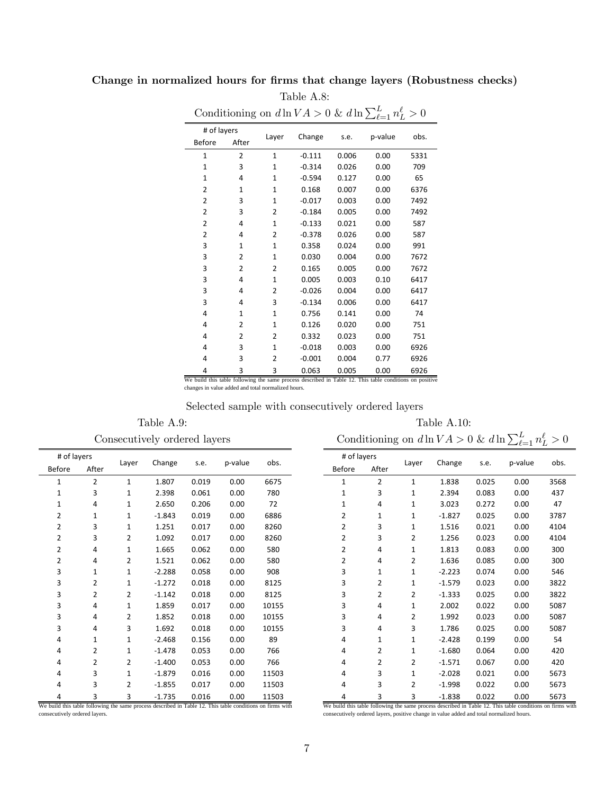# Change in normalized hours for firms that change layers (Robustness checks)

|                |                |                |          |       | Conditioning on $d\ln VA > 0$ & $d\ln \sum_{\ell=1}^{L} n_L^{\ell}$ | $\cdot$ 0 |
|----------------|----------------|----------------|----------|-------|---------------------------------------------------------------------|-----------|
| # of layers    |                | Layer          | Change   | s.e.  | p-value                                                             | obs.      |
| Before         | After          |                |          |       |                                                                     |           |
| $\mathbf{1}$   | $\overline{2}$ | $\mathbf{1}$   | $-0.111$ | 0.006 | 0.00                                                                | 5331      |
| $\mathbf{1}$   | 3              | $\mathbf{1}$   | $-0.314$ | 0.026 | 0.00                                                                | 709       |
| 1              | 4              | 1              | $-0.594$ | 0.127 | 0.00                                                                | 65        |
| $\overline{2}$ | $\mathbf{1}$   | $\mathbf{1}$   | 0.168    | 0.007 | 0.00                                                                | 6376      |
| $\overline{2}$ | 3              | $\mathbf{1}$   | $-0.017$ | 0.003 | 0.00                                                                | 7492      |
| 2              | 3              | 2              | $-0.184$ | 0.005 | 0.00                                                                | 7492      |
| $\overline{2}$ | 4              | 1              | $-0.133$ | 0.021 | 0.00                                                                | 587       |
| $\overline{2}$ | 4              | $\overline{2}$ | $-0.378$ | 0.026 | 0.00                                                                | 587       |
| 3              | $\mathbf{1}$   | $\mathbf{1}$   | 0.358    | 0.024 | 0.00                                                                | 991       |
| 3              | $\overline{2}$ | $\mathbf{1}$   | 0.030    | 0.004 | 0.00                                                                | 7672      |
| 3              | 2              | $\overline{2}$ | 0.165    | 0.005 | 0.00                                                                | 7672      |
| 3              | 4              | $\mathbf{1}$   | 0.005    | 0.003 | 0.10                                                                | 6417      |
| 3              | 4              | 2              | $-0.026$ | 0.004 | 0.00                                                                | 6417      |
| 3              | 4              | 3              | $-0.134$ | 0.006 | 0.00                                                                | 6417      |
| $\overline{4}$ | $\mathbf{1}$   | $\mathbf{1}$   | 0.756    | 0.141 | 0.00                                                                | 74        |
| 4              | 2              | $\mathbf{1}$   | 0.126    | 0.020 | 0.00                                                                | 751       |
| 4              | 2              | 2              | 0.332    | 0.023 | 0.00                                                                | 751       |
| 4              | 3              | $\mathbf{1}$   | $-0.018$ | 0.003 | 0.00                                                                | 6926      |
| 4              | 3              | 2              | $-0.001$ | 0.004 | 0.77                                                                | 6926      |
| 4              | 3              | 3              | 0.063    | 0.005 | 0.00                                                                | 6926      |

Table A.8: Conditioning on  $d \ln V A > 0$  &  $d \ln \sum_{\ell=1}^{L}$ 

4 3 3 0.063 0.005 0.00 6926<br>We build this table following the same process described in Table 12. This table conditions on positive changes in value added and total normalized hours.

### Selected sample with consecutively ordered layers

Consecutively ordered layers Conditioning on  $d \ln V A > 0$  &  $d \ln \sum_{\ell=1}^{L} n_L^{\ell} > 0$ 

Table A.9: Table A.10:

| # of layers    |                |              |          |       |         | obs.  |
|----------------|----------------|--------------|----------|-------|---------|-------|
| <b>Before</b>  | After          | Layer        | Change   | s.e.  | p-value |       |
| $\mathbf{1}$   | $\overline{2}$ | $\mathbf{1}$ | 1.807    | 0.019 | 0.00    | 6675  |
| $\mathbf{1}$   | 3              | 1            | 2.398    | 0.061 | 0.00    | 780   |
| $\mathbf{1}$   | 4              | 1            | 2.650    | 0.206 | 0.00    | 72    |
| 2              | $\mathbf{1}$   | $\mathbf{1}$ | $-1.843$ | 0.019 | 0.00    | 6886  |
| $\overline{2}$ | 3              | $\mathbf{1}$ | 1.251    | 0.017 | 0.00    | 8260  |
| 2              | 3              | 2            | 1.092    | 0.017 | 0.00    | 8260  |
| $\overline{2}$ | 4              | $\mathbf{1}$ | 1.665    | 0.062 | 0.00    | 580   |
| $\overline{2}$ | 4              | 2            | 1.521    | 0.062 | 0.00    | 580   |
| 3              | $\mathbf{1}$   | $\mathbf{1}$ | $-2.288$ | 0.058 | 0.00    | 908   |
| 3              | 2              | 1            | $-1.272$ | 0.018 | 0.00    | 8125  |
| 3              | $\overline{2}$ | 2            | $-1.142$ | 0.018 | 0.00    | 8125  |
| 3              | 4              | 1            | 1.859    | 0.017 | 0.00    | 10155 |
| 3              | 4              | 2            | 1.852    | 0.018 | 0.00    | 10155 |
| 3              | 4              | 3            | 1.692    | 0.018 | 0.00    | 10155 |
| 4              | $\mathbf{1}$   | $\mathbf{1}$ | $-2.468$ | 0.156 | 0.00    | 89    |
| 4              | $\overline{2}$ | 1            | $-1.478$ | 0.053 | 0.00    | 766   |
| 4              | $\overline{2}$ | 2            | $-1.400$ | 0.053 | 0.00    | 766   |
| 4              | 3              | $\mathbf{1}$ | $-1.879$ | 0.016 | 0.00    | 11503 |
| 4              | 3              | 2            | $-1.855$ | 0.017 | 0.00    | 11503 |
| 4              | 3              | 3            | $-1.735$ | 0.016 | 0.00    | 11503 |

We build this table following the same process described in Table 12. This table conditions on firms with consecutively ordered layers.

|               | # of layers    |                |          | s.e.  |         | obs. |
|---------------|----------------|----------------|----------|-------|---------|------|
| <b>Before</b> | After          | Layer          | Change   |       | p-value |      |
| $\mathbf{1}$  | 2              | $\mathbf{1}$   | 1.838    | 0.025 | 0.00    | 3568 |
| $\mathbf{1}$  | 3              | $\mathbf{1}$   | 2.394    | 0.083 | 0.00    | 437  |
| 1             | 4              | $\mathbf{1}$   | 3.023    | 0.272 | 0.00    | 47   |
| 2             | $\mathbf{1}$   | $\mathbf{1}$   | $-1.827$ | 0.025 | 0.00    | 3787 |
| 2             | 3              | $\mathbf{1}$   | 1.516    | 0.021 | 0.00    | 4104 |
| 2             | 3              | $\overline{2}$ | 1.256    | 0.023 | 0.00    | 4104 |
| 2             | 4              | $\mathbf{1}$   | 1.813    | 0.083 | 0.00    | 300  |
| 2             | 4              | 2              | 1.636    | 0.085 | 0.00    | 300  |
| 3             | $\mathbf{1}$   | $\mathbf{1}$   | $-2.223$ | 0.074 | 0.00    | 546  |
| 3             | $\overline{2}$ | $\mathbf{1}$   | $-1.579$ | 0.023 | 0.00    | 3822 |
| 3             | 2              | 2              | $-1.333$ | 0.025 | 0.00    | 3822 |
| 3             | 4              | $\mathbf{1}$   | 2.002    | 0.022 | 0.00    | 5087 |
| 3             | 4              | 2              | 1.992    | 0.023 | 0.00    | 5087 |
| 3             | 4              | 3              | 1.786    | 0.025 | 0.00    | 5087 |
| 4             | $\mathbf{1}$   | $\mathbf{1}$   | $-2.428$ | 0.199 | 0.00    | 54   |
| 4             | $\overline{2}$ | $\mathbf{1}$   | $-1.680$ | 0.064 | 0.00    | 420  |
| 4             | 2              | 2              | $-1.571$ | 0.067 | 0.00    | 420  |
| 4             | 3              | $\mathbf{1}$   | $-2.028$ | 0.021 | 0.00    | 5673 |
| 4             | 3              | 2              | $-1.998$ | 0.022 | 0.00    | 5673 |
| 4             | 3              | 3              | $-1.838$ | 0.022 | 0.00    | 5673 |

We build this table following the same process described in Table 12. This table conditions on firms with consecutively ordered layers, positive change in value added and total normalized hours.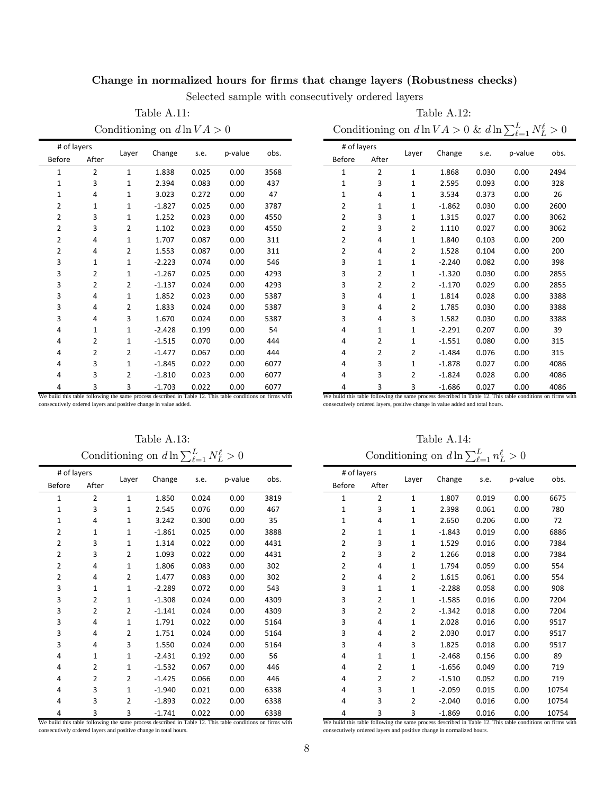## Change in normalized hours for firms that change layers (Robustness checks)

Selected sample with consecutively ordered layers

Table A.11: Table A.12:

Conditioning on  $d \ln V A > 0$  Conditioning on  $d \ln V A > 0$  &  $d \ln \sum_{\ell=1}^{L} N_{L}^{\ell} > 0$ 

| # of layers                                                                                               |                |                |          |       | p-value |      |
|-----------------------------------------------------------------------------------------------------------|----------------|----------------|----------|-------|---------|------|
| <b>Before</b>                                                                                             | After          | Layer          | Change   | s.e.  |         | obs. |
| $\mathbf{1}$                                                                                              | $\overline{2}$ | $\mathbf{1}$   | 1.838    | 0.025 | 0.00    | 3568 |
| $\mathbf{1}$                                                                                              | 3              | $\mathbf{1}$   | 2.394    | 0.083 | 0.00    | 437  |
| $\mathbf{1}$                                                                                              | 4              | 1              | 3.023    | 0.272 | 0.00    | 47   |
| 2                                                                                                         | $\mathbf{1}$   | $\mathbf{1}$   | $-1.827$ | 0.025 | 0.00    | 3787 |
| 2                                                                                                         | 3              | $\mathbf{1}$   | 1.252    | 0.023 | 0.00    | 4550 |
| 2                                                                                                         | 3              | $\overline{2}$ | 1.102    | 0.023 | 0.00    | 4550 |
| 2                                                                                                         | 4              | 1              | 1.707    | 0.087 | 0.00    | 311  |
| 2                                                                                                         | 4              | 2              | 1.553    | 0.087 | 0.00    | 311  |
| 3                                                                                                         | $\mathbf{1}$   | $\mathbf{1}$   | $-2.223$ | 0.074 | 0.00    | 546  |
| 3                                                                                                         | 2              | 1              | $-1.267$ | 0.025 | 0.00    | 4293 |
| 3                                                                                                         | 2              | 2              | $-1.137$ | 0.024 | 0.00    | 4293 |
| 3                                                                                                         | 4              | $\mathbf{1}$   | 1.852    | 0.023 | 0.00    | 5387 |
| 3                                                                                                         | 4              | 2              | 1.833    | 0.024 | 0.00    | 5387 |
| 3                                                                                                         | 4              | 3              | 1.670    | 0.024 | 0.00    | 5387 |
| 4                                                                                                         | $\mathbf{1}$   | 1              | $-2.428$ | 0.199 | 0.00    | 54   |
| 4                                                                                                         | 2              | 1              | $-1.515$ | 0.070 | 0.00    | 444  |
| 4                                                                                                         | 2              | 2              | $-1.477$ | 0.067 | 0.00    | 444  |
| 4                                                                                                         | 3              | $\mathbf{1}$   | $-1.845$ | 0.022 | 0.00    | 6077 |
| 4                                                                                                         | 3              | 2              | $-1.810$ | 0.023 | 0.00    | 6077 |
| 4                                                                                                         | 3              | 3              | $-1.703$ | 0.022 | 0.00    | 6077 |
| We build this table following the same process described in Table 12. This table conditions on firms with |                |                |          |       |         |      |

# of layers Layer Change s.e. <sup>p</sup>‐value obs. Before After 2 1 1.868 0.030 0.00 2494 3 1 2.595 0.093 0.00 328 4 1 3.534 0.373 0.00 26 1 1 ‐1.862 0.030 0.00 2600 3 1 1.315 0.027 0.00 3062 3 2 1.110 0.027 0.00 3062 4 1 1.840 0.103 0.00 200 4 2 1.528 0.104 0.00 200 1 1 ‐2.240 0.082 0.00 398 2 1 ‐1.320 0.030 0.00 2855 2 2 ‐1.170 0.029 0.00 2855 4 1 1.814 0.028 0.00 3388 4 2 1.785 0.030 0.00 3388 4 3 1.582 0.030 0.00 3388 1 1 ‐2.291 0.207 0.00 39 2 1 ‐1.551 0.080 0.00 315 2 2 ‐1.484 0.076 0.00 315 3 1 ‐1.878 0.027 0.00 4086 3 2 ‐1.824 0.028 0.00 4086 3 3 ‐1.686 0.027 0.00 4086 We build this table following the same process described in Table 12. This table conditions on firms with

consecutively ordered layers and positive change in value added.

Table A.13: Table A.14: Conditioning on  $d \ln \sum_{\ell=1}^{L} N_{L}^{\ell}$ 

|                | # of layers    |                |          |       |         |      |
|----------------|----------------|----------------|----------|-------|---------|------|
| <b>Before</b>  | After          | Layer          | Change   | s.e.  | p-value | obs. |
| 1              | $\overline{2}$ | 1              | 1.850    | 0.024 | 0.00    | 3819 |
| $\mathbf{1}$   | 3              | $\mathbf{1}$   | 2.545    | 0.076 | 0.00    | 467  |
| $\mathbf{1}$   | 4              | 1              | 3.242    | 0.300 | 0.00    | 35   |
| 2              | $\mathbf{1}$   | $\mathbf{1}$   | $-1.861$ | 0.025 | 0.00    | 3888 |
| $\overline{2}$ | 3              | 1              | 1.314    | 0.022 | 0.00    | 4431 |
| $\overline{2}$ | 3              | 2              | 1.093    | 0.022 | 0.00    | 4431 |
| $\overline{2}$ | 4              | $\mathbf{1}$   | 1.806    | 0.083 | 0.00    | 302  |
| $\overline{2}$ | 4              | $\overline{2}$ | 1.477    | 0.083 | 0.00    | 302  |
| 3              | $\mathbf{1}$   | $\mathbf{1}$   | $-2.289$ | 0.072 | 0.00    | 543  |
| 3              | 2              | $\mathbf{1}$   | $-1.308$ | 0.024 | 0.00    | 4309 |
| 3              | $\overline{2}$ | 2              | $-1.141$ | 0.024 | 0.00    | 4309 |
| 3              | 4              | $\mathbf{1}$   | 1.791    | 0.022 | 0.00    | 5164 |
| 3              | 4              | 2              | 1.751    | 0.024 | 0.00    | 5164 |
| 3              | 4              | 3              | 1.550    | 0.024 | 0.00    | 5164 |
| 4              | 1              | 1              | $-2.431$ | 0.192 | 0.00    | 56   |
| $\overline{4}$ | 2              | $\mathbf{1}$   | $-1.532$ | 0.067 | 0.00    | 446  |
| 4              | $\overline{2}$ | $\overline{2}$ | $-1.425$ | 0.066 | 0.00    | 446  |
| 4              | 3              | $\mathbf{1}$   | $-1.940$ | 0.021 | 0.00    | 6338 |
| 4              | 3              | 2              | $-1.893$ | 0.022 | 0.00    | 6338 |
| 4              | 3              | 3              | $-1.741$ | 0.022 | 0.00    | 6338 |

We build this table following the same process described in Table 12. This table conditions on firms with consecutively ordered layers and positive change in total hours.

consecutively ordered layers, positive change in value added and total hours.

 $L^{\ell} > 0$  Conditioning on  $d \ln \sum_{\ell=1}^{L} n_L^{\ell} > 0$ 

| # of layers    |                |              |          |       |         | obs.  |
|----------------|----------------|--------------|----------|-------|---------|-------|
| <b>Before</b>  | After          | Layer        | Change   | s.e.  | p-value |       |
| $\mathbf{1}$   | $\overline{2}$ | $\mathbf{1}$ | 1.807    | 0.019 | 0.00    | 6675  |
| $\mathbf{1}$   | 3              | $\mathbf{1}$ | 2.398    | 0.061 | 0.00    | 780   |
| $\mathbf{1}$   | 4              | 1            | 2.650    | 0.206 | 0.00    | 72    |
| 2              | 1              | 1            | $-1.843$ | 0.019 | 0.00    | 6886  |
| 2              | 3              | $\mathbf{1}$ | 1.529    | 0.016 | 0.00    | 7384  |
| $\overline{2}$ | 3              | 2            | 1.266    | 0.018 | 0.00    | 7384  |
| 2              | 4              | $\mathbf{1}$ | 1.794    | 0.059 | 0.00    | 554   |
| $\overline{2}$ | 4              | 2            | 1.615    | 0.061 | 0.00    | 554   |
| 3              | $\mathbf{1}$   | 1            | $-2.288$ | 0.058 | 0.00    | 908   |
| 3              | $\overline{2}$ | $\mathbf{1}$ | $-1.585$ | 0.016 | 0.00    | 7204  |
| 3              | $\overline{2}$ | 2            | $-1.342$ | 0.018 | 0.00    | 7204  |
| 3              | 4              | $\mathbf{1}$ | 2.028    | 0.016 | 0.00    | 9517  |
| 3              | 4              | 2            | 2.030    | 0.017 | 0.00    | 9517  |
| 3              | 4              | 3            | 1.825    | 0.018 | 0.00    | 9517  |
| 4              | $\mathbf{1}$   | $\mathbf{1}$ | $-2.468$ | 0.156 | 0.00    | 89    |
| 4              | $\overline{2}$ | $\mathbf{1}$ | $-1.656$ | 0.049 | 0.00    | 719   |
| 4              | $\overline{2}$ | 2            | $-1.510$ | 0.052 | 0.00    | 719   |
| 4              | 3              | $\mathbf{1}$ | $-2.059$ | 0.015 | 0.00    | 10754 |
| 4              | 3              | 2            | $-2.040$ | 0.016 | 0.00    | 10754 |
| 4              | 3              | 3            | $-1.869$ | 0.016 | 0.00    | 10754 |

We build this table following the same process described in Table 12. This table conditions on firms with consecutively ordered layers and positive change in normalized hours.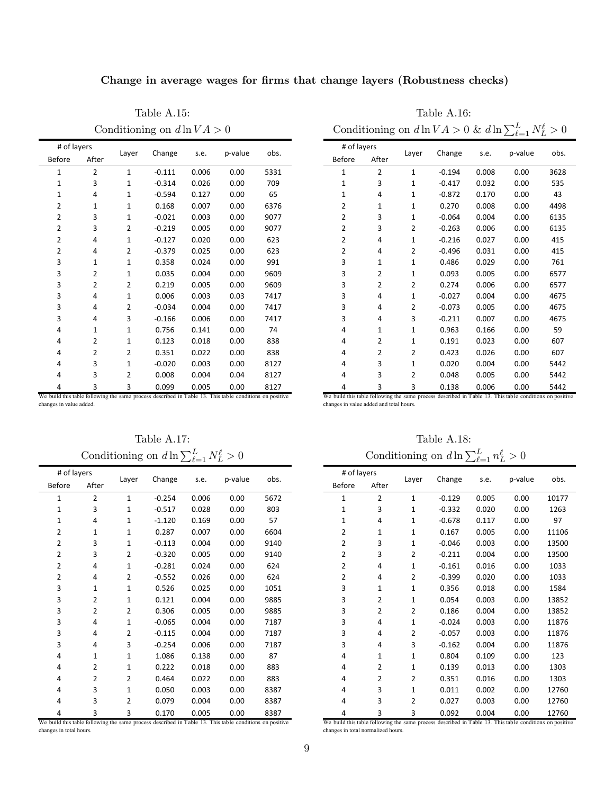Change in average wages for firms that change layers (Robustness checks)

Table A.15: Table A.16:

| # of layers                                                                                             |                |                |          |       |         |      |
|---------------------------------------------------------------------------------------------------------|----------------|----------------|----------|-------|---------|------|
| <b>Before</b>                                                                                           | After          | Layer          | Change   | s.e.  | p-value | obs. |
| 1                                                                                                       | $\overline{2}$ | $\mathbf{1}$   | $-0.111$ | 0.006 | 0.00    | 5331 |
| $\overline{1}$                                                                                          | 3              | $\mathbf{1}$   | $-0.314$ | 0.026 | 0.00    | 709  |
| $\mathbf{1}$                                                                                            | 4              | $\mathbf{1}$   | $-0.594$ | 0.127 | 0.00    | 65   |
| 2                                                                                                       | $\mathbf{1}$   | 1              | 0.168    | 0.007 | 0.00    | 6376 |
| $\overline{2}$                                                                                          | 3              | $\mathbf{1}$   | $-0.021$ | 0.003 | 0.00    | 9077 |
| 2                                                                                                       | 3              | $\overline{2}$ | $-0.219$ | 0.005 | 0.00    | 9077 |
| $\overline{2}$                                                                                          | 4              | $\mathbf{1}$   | $-0.127$ | 0.020 | 0.00    | 623  |
| 2                                                                                                       | 4              | 2              | $-0.379$ | 0.025 | 0.00    | 623  |
| 3                                                                                                       | $\mathbf{1}$   | 1              | 0.358    | 0.024 | 0.00    | 991  |
| 3                                                                                                       | $\overline{2}$ | $\mathbf{1}$   | 0.035    | 0.004 | 0.00    | 9609 |
| 3                                                                                                       | 2              | 2              | 0.219    | 0.005 | 0.00    | 9609 |
| 3                                                                                                       | 4              | $\mathbf{1}$   | 0.006    | 0.003 | 0.03    | 7417 |
| 3                                                                                                       | 4              | 2              | $-0.034$ | 0.004 | 0.00    | 7417 |
| 3                                                                                                       | 4              | 3              | $-0.166$ | 0.006 | 0.00    | 7417 |
| 4                                                                                                       | $\mathbf{1}$   | $\mathbf{1}$   | 0.756    | 0.141 | 0.00    | 74   |
| 4                                                                                                       | $\overline{2}$ | 1              | 0.123    | 0.018 | 0.00    | 838  |
| 4                                                                                                       | $\overline{2}$ | $\overline{2}$ | 0.351    | 0.022 | 0.00    | 838  |
| 4                                                                                                       | 3              | $\mathbf{1}$   | $-0.020$ | 0.003 | 0.00    | 8127 |
| 4                                                                                                       | 3              | 2              | 0.008    | 0.004 | 0.04    | 8127 |
| 4                                                                                                       | 3              | 3              | 0.099    | 0.005 | 0.00    | 8127 |
| We build this table following the same process described in Table 13. This table conditions on positive |                |                |          |       |         |      |

Conditioning on  $d \ln V A > 0$  Conditioning on  $d \ln V A > 0$  &  $d \ln \sum_{\ell=1}^{L} N_{L}^{\ell} > 0$ 

| # of layers    |                |                |          |       |         |      |
|----------------|----------------|----------------|----------|-------|---------|------|
| <b>Before</b>  | After          | Layer          | Change   | s.e.  | p-value | obs. |
| 1              | $\overline{2}$ | $\mathbf{1}$   | $-0.194$ | 0.008 | 0.00    | 3628 |
| 1              | 3              | 1              | $-0.417$ | 0.032 | 0.00    | 535  |
| $\mathbf{1}$   | 4              | 1              | $-0.872$ | 0.170 | 0.00    | 43   |
| $\overline{2}$ | 1              | $\mathbf{1}$   | 0.270    | 0.008 | 0.00    | 4498 |
| $\overline{2}$ | 3              | $\mathbf{1}$   | $-0.064$ | 0.004 | 0.00    | 6135 |
| 2              | 3              | 2              | $-0.263$ | 0.006 | 0.00    | 6135 |
| $\overline{2}$ | 4              | $\mathbf{1}$   | $-0.216$ | 0.027 | 0.00    | 415  |
| 2              | 4              | 2              | $-0.496$ | 0.031 | 0.00    | 415  |
| 3              | 1              | 1              | 0.486    | 0.029 | 0.00    | 761  |
| 3              | 2              | $\mathbf{1}$   | 0.093    | 0.005 | 0.00    | 6577 |
| 3              | 2              | $\overline{2}$ | 0.274    | 0.006 | 0.00    | 6577 |
| 3              | 4              | $\mathbf{1}$   | $-0.027$ | 0.004 | 0.00    | 4675 |
| 3              | 4              | 2              | $-0.073$ | 0.005 | 0.00    | 4675 |
| 3              | 4              | 3              | $-0.211$ | 0.007 | 0.00    | 4675 |
| 4              | 1              | 1              | 0.963    | 0.166 | 0.00    | 59   |
| 4              | $\overline{2}$ | $\mathbf{1}$   | 0.191    | 0.023 | 0.00    | 607  |
| 4              | 2              | 2              | 0.423    | 0.026 | 0.00    | 607  |
| 4              | 3              | $\mathbf{1}$   | 0.020    | 0.004 | 0.00    | 5442 |
| 4              | 3              | 2              | 0.048    | 0.005 | 0.00    | 5442 |
| 4              | 3              | 3              | 0.138    | 0.006 | 0.00    | 5442 |

We build this table following the same process described in Table 13. This table conditions on positive

changes in value added.

Conditioning on  $d \ln \sum_{\ell=1}^{L} N_{L}^{\ell}$ 

| # of layers    |                |                |          |       |         |      |
|----------------|----------------|----------------|----------|-------|---------|------|
| <b>Before</b>  | After          | Layer          | Change   | s.e.  | p-value | obs. |
| $\mathbf{1}$   | $\overline{2}$ | 1              | $-0.254$ | 0.006 | 0.00    | 5672 |
| $\mathbf{1}$   | 3              | $\mathbf{1}$   | $-0.517$ | 0.028 | 0.00    | 803  |
| $\mathbf{1}$   | 4              | 1              | $-1.120$ | 0.169 | 0.00    | 57   |
| 2              | $\mathbf{1}$   | $\mathbf{1}$   | 0.287    | 0.007 | 0.00    | 6604 |
| $\overline{2}$ | 3              | $\mathbf{1}$   | $-0.113$ | 0.004 | 0.00    | 9140 |
| 2              | 3              | 2              | $-0.320$ | 0.005 | 0.00    | 9140 |
| $\overline{2}$ | 4              | $\mathbf{1}$   | $-0.281$ | 0.024 | 0.00    | 624  |
| $\overline{2}$ | 4              | $\overline{2}$ | $-0.552$ | 0.026 | 0.00    | 624  |
| 3              | $\mathbf{1}$   | $\mathbf{1}$   | 0.526    | 0.025 | 0.00    | 1051 |
| 3              | $\overline{2}$ | $\mathbf{1}$   | 0.121    | 0.004 | 0.00    | 9885 |
| 3              | $\overline{2}$ | $\overline{2}$ | 0.306    | 0.005 | 0.00    | 9885 |
| 3              | 4              | $\mathbf{1}$   | $-0.065$ | 0.004 | 0.00    | 7187 |
| 3              | 4              | 2              | $-0.115$ | 0.004 | 0.00    | 7187 |
| 3              | 4              | 3              | $-0.254$ | 0.006 | 0.00    | 7187 |
| 4              | $\mathbf{1}$   | $\mathbf{1}$   | 1.086    | 0.138 | 0.00    | 87   |
| 4              | $\overline{2}$ | $\mathbf{1}$   | 0.222    | 0.018 | 0.00    | 883  |
| 4              | $\overline{2}$ | 2              | 0.464    | 0.022 | 0.00    | 883  |
| 4              | 3              | $\mathbf{1}$   | 0.050    | 0.003 | 0.00    | 8387 |
| 4              | 3              | 2              | 0.079    | 0.004 | 0.00    | 8387 |
| 4              | 3              | 3              | 0.170    | 0.005 | 0.00    | 8387 |

We build this table following the same process described in Table 13. This table conditions on positive changes in total hours.

Table A.17: Table A.18:

changes in value added and total hours.

| $L^{\ell} > 0$ |      | Conditioning on $d \ln \sum_{\ell=1}^{L} n_L^{\ell} > 0$ |                |                |          |       |         |       |
|----------------|------|----------------------------------------------------------|----------------|----------------|----------|-------|---------|-------|
| p-value        | obs. | # of layers<br><b>Before</b>                             | After          | Layer          | Change   | s.e.  | p-value | obs.  |
| 0.00           | 5672 | $\mathbf{1}$                                             | $\overline{2}$ | $\mathbf{1}$   | $-0.129$ | 0.005 | 0.00    | 10177 |
| 0.00           | 803  | $\mathbf 1$                                              | 3              | $\mathbf{1}$   | $-0.332$ | 0.020 | 0.00    | 1263  |
| 0.00           | 57   | $\mathbf 1$                                              | 4              | $\mathbf 1$    | $-0.678$ | 0.117 | 0.00    | 97    |
| 0.00           | 6604 | $\overline{2}$                                           | $\mathbf{1}$   | $\mathbf{1}$   | 0.167    | 0.005 | 0.00    | 11106 |
| 0.00           | 9140 | 2                                                        | 3              | $\mathbf{1}$   | $-0.046$ | 0.003 | 0.00    | 13500 |
| 0.00           | 9140 | 2                                                        | 3              | $\overline{2}$ | $-0.211$ | 0.004 | 0.00    | 13500 |
| 0.00           | 624  | 2                                                        | 4              | $\mathbf 1$    | $-0.161$ | 0.016 | 0.00    | 1033  |
| 0.00           | 624  | 2                                                        | 4              | $\overline{2}$ | $-0.399$ | 0.020 | 0.00    | 1033  |
| 0.00           | 1051 | 3                                                        | $\mathbf{1}$   | $\mathbf{1}$   | 0.356    | 0.018 | 0.00    | 1584  |
| 0.00           | 9885 | 3                                                        | $\overline{2}$ | $\mathbf{1}$   | 0.054    | 0.003 | 0.00    | 13852 |
| 0.00           | 9885 | 3                                                        | $\overline{2}$ | 2              | 0.186    | 0.004 | 0.00    | 13852 |
| 0.00           | 7187 | 3                                                        | 4              | $\mathbf{1}$   | $-0.024$ | 0.003 | 0.00    | 11876 |
| 0.00           | 7187 | 3                                                        | 4              | 2              | $-0.057$ | 0.003 | 0.00    | 11876 |
| 0.00           | 7187 | 3                                                        | 4              | 3              | $-0.162$ | 0.004 | 0.00    | 11876 |
| 0.00           | 87   | 4                                                        | $\mathbf{1}$   | $\mathbf{1}$   | 0.804    | 0.109 | 0.00    | 123   |
| 0.00           | 883  | 4                                                        | 2              | $\mathbf{1}$   | 0.139    | 0.013 | 0.00    | 1303  |
| 0.00           | 883  | 4                                                        | 2              | 2              | 0.351    | 0.016 | 0.00    | 1303  |
| 0.00           | 8387 | 4                                                        | 3              | 1              | 0.011    | 0.002 | 0.00    | 12760 |
| 0.00           | 8387 | 4                                                        | 3              | $\overline{2}$ | 0.027    | 0.003 | 0.00    | 12760 |
| 0.00           | 8387 | 4                                                        | 3              | 3              | 0.092    | 0.004 | 0.00    | 12760 |

We build this table following the same process described in Table 13. This table conditions on positive changes in total normalized hours.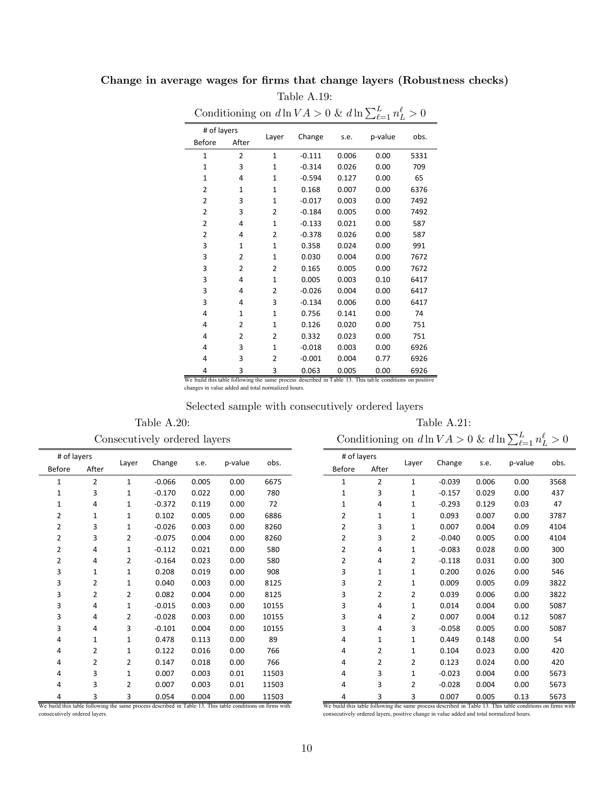## Change in average wages for firms that change layers (Robustness checks) Table A.19:

|                |                |                |          |       | Conditioning on $d\ln VA > 0$ & $d\ln \sum_{\ell=1}^{L} n_L^{\ell} > 0$ |      |
|----------------|----------------|----------------|----------|-------|-------------------------------------------------------------------------|------|
| # of layers    |                |                |          |       |                                                                         |      |
| Before         | After          | Layer          | Change   | s.e.  | p-value                                                                 | obs. |
| $\mathbf{1}$   | $\overline{2}$ | $\mathbf{1}$   | $-0.111$ | 0.006 | 0.00                                                                    | 5331 |
| $\mathbf{1}$   | 3              | $\mathbf{1}$   | $-0.314$ | 0.026 | 0.00                                                                    | 709  |
| $\mathbf{1}$   | 4              | $\mathbf{1}$   | $-0.594$ | 0.127 | 0.00                                                                    | 65   |
| $\overline{2}$ | $\mathbf{1}$   | $\mathbf{1}$   | 0.168    | 0.007 | 0.00                                                                    | 6376 |
| $\overline{2}$ | 3              | $\mathbf{1}$   | $-0.017$ | 0.003 | 0.00                                                                    | 7492 |
| $\overline{2}$ | 3              | $\overline{2}$ | $-0.184$ | 0.005 | 0.00                                                                    | 7492 |
| $\overline{2}$ | 4              | $\mathbf{1}$   | $-0.133$ | 0.021 | 0.00                                                                    | 587  |
| 2              | 4              | 2              | $-0.378$ | 0.026 | 0.00                                                                    | 587  |
| 3              | $\mathbf{1}$   | $\mathbf{1}$   | 0.358    | 0.024 | 0.00                                                                    | 991  |
| 3              | $\overline{2}$ | $\mathbf{1}$   | 0.030    | 0.004 | 0.00                                                                    | 7672 |
| 3              | $\overline{2}$ | $\overline{2}$ | 0.165    | 0.005 | 0.00                                                                    | 7672 |
| 3              | 4              | $\mathbf{1}$   | 0.005    | 0.003 | 0.10                                                                    | 6417 |
| 3              | 4              | 2              | $-0.026$ | 0.004 | 0.00                                                                    | 6417 |
| 3              | 4              | 3              | $-0.134$ | 0.006 | 0.00                                                                    | 6417 |
| 4              | $\mathbf{1}$   | $\mathbf{1}$   | 0.756    | 0.141 | 0.00                                                                    | 74   |
| 4              | $\overline{2}$ | $\mathbf{1}$   | 0.126    | 0.020 | 0.00                                                                    | 751  |
| 4              | 2              | 2              | 0.332    | 0.023 | 0.00                                                                    | 751  |
| 4              | 3              | $\mathbf{1}$   | $-0.018$ | 0.003 | 0.00                                                                    | 6926 |
| 4              | 3              | 2              | $-0.001$ | 0.004 | 0.77                                                                    | 6926 |
| 4              | 3              | 3              | 0.063    | 0.005 | 0.00                                                                    | 6926 |

Conditioning on  $d \ln V A > 0$  &  $d \ln \sum_{\ell=1}^{L}$  $\ell$ 

We build this table following the same process described in Table 13. This table conditions on positive changes in value added and total normalized hours.

#### Selected sample with consecutively ordered layers

Table A.20: Table A.21:

Consecutively ordered layers Conditioning on  $d \ln V A > 0$  &  $d \ln \sum_{\ell=1}^{L} n_L^{\ell} > 0$ 

| # of layers    |                |                |          |       |         |       |
|----------------|----------------|----------------|----------|-------|---------|-------|
| <b>Before</b>  | After          | Layer          | Change   | s.e.  | p-value | obs.  |
| $\mathbf{1}$   | $\overline{2}$ | $\mathbf{1}$   | $-0.066$ | 0.005 | 0.00    | 6675  |
| $\mathbf{1}$   | 3              | 1              | $-0.170$ | 0.022 | 0.00    | 780   |
| $\mathbf{1}$   | 4              | $\mathbf{1}$   | $-0.372$ | 0.119 | 0.00    | 72    |
| 2              | $\mathbf{1}$   | $\mathbf{1}$   | 0.102    | 0.005 | 0.00    | 6886  |
| $\overline{2}$ | 3              | $\mathbf{1}$   | $-0.026$ | 0.003 | 0.00    | 8260  |
| $\overline{2}$ | 3              | $\overline{2}$ | $-0.075$ | 0.004 | 0.00    | 8260  |
| 2              | 4              | 1              | $-0.112$ | 0.021 | 0.00    | 580   |
| 2              | 4              | 2              | $-0.164$ | 0.023 | 0.00    | 580   |
| 3              | 1              | 1              | 0.208    | 0.019 | 0.00    | 908   |
| 3              | $\overline{2}$ | $\mathbf{1}$   | 0.040    | 0.003 | 0.00    | 8125  |
| 3              | $\overline{2}$ | 2              | 0.082    | 0.004 | 0.00    | 8125  |
| 3              | 4              | $\mathbf{1}$   | $-0.015$ | 0.003 | 0.00    | 10155 |
| 3              | 4              | $\overline{2}$ | $-0.028$ | 0.003 | 0.00    | 10155 |
| 3              | 4              | 3              | $-0.101$ | 0.004 | 0.00    | 10155 |
| 4              | $\mathbf{1}$   | $\mathbf{1}$   | 0.478    | 0.113 | 0.00    | 89    |
| 4              | $\overline{2}$ | $\mathbf{1}$   | 0.122    | 0.016 | 0.00    | 766   |
| 4              | 2              | 2              | 0.147    | 0.018 | 0.00    | 766   |
| 4              | 3              | $\mathbf{1}$   | 0.007    | 0.003 | 0.01    | 11503 |
| 4              | 3              | 2              | 0.007    | 0.003 | 0.01    | 11503 |
| 4              | 3              | 3              | 0.054    | 0.004 | 0.00    | 11503 |

We build this table following the same process described in Table 13. This table conditions on firms with consecutively ordered layers.

| # of layers    |                |                |          |       |         |      |
|----------------|----------------|----------------|----------|-------|---------|------|
| <b>Before</b>  | After          | Layer          | Change   | s.e.  | p-value | obs. |
| 1              | $\overline{2}$ | 1              | $-0.039$ | 0.006 | 0.00    | 3568 |
| $\mathbf{1}$   | 3              | 1              | $-0.157$ | 0.029 | 0.00    | 437  |
| 1              | 4              | 1              | $-0.293$ | 0.129 | 0.03    | 47   |
| 2              | $\mathbf{1}$   | $\mathbf{1}$   | 0.093    | 0.007 | 0.00    | 3787 |
| $\overline{2}$ | 3              | 1              | 0.007    | 0.004 | 0.09    | 4104 |
| $\overline{2}$ | 3              | $\overline{2}$ | $-0.040$ | 0.005 | 0.00    | 4104 |
| $\overline{2}$ | $\overline{4}$ | $\mathbf{1}$   | $-0.083$ | 0.028 | 0.00    | 300  |
| $\overline{2}$ | 4              | 2              | $-0.118$ | 0.031 | 0.00    | 300  |
| 3              | $\mathbf{1}$   | $\mathbf{1}$   | 0.200    | 0.026 | 0.00    | 546  |
| 3              | 2              | $\mathbf{1}$   | 0.009    | 0.005 | 0.09    | 3822 |
| 3              | 2              | $\overline{2}$ | 0.039    | 0.006 | 0.00    | 3822 |
| 3              | 4              | $\mathbf{1}$   | 0.014    | 0.004 | 0.00    | 5087 |
| 3              | 4              | 2              | 0.007    | 0.004 | 0.12    | 5087 |
| 3              | 4              | 3              | $-0.058$ | 0.005 | 0.00    | 5087 |
| 4              | 1              | 1              | 0.449    | 0.148 | 0.00    | 54   |
| 4              | 2              | $\mathbf{1}$   | 0.104    | 0.023 | 0.00    | 420  |
| 4              | 2              | 2              | 0.123    | 0.024 | 0.00    | 420  |
| 4              | 3              | $\mathbf{1}$   | $-0.023$ | 0.004 | 0.00    | 5673 |
| 4              | 3              | 2              | $-0.028$ | 0.004 | 0.00    | 5673 |
| 4              | 3              | 3              | 0.007    | 0.005 | 0.13    | 5673 |

We build this table following the same process described in Table 13. This table conditions on firms with consecutively ordered layers, positive change in value added and total normalized hours.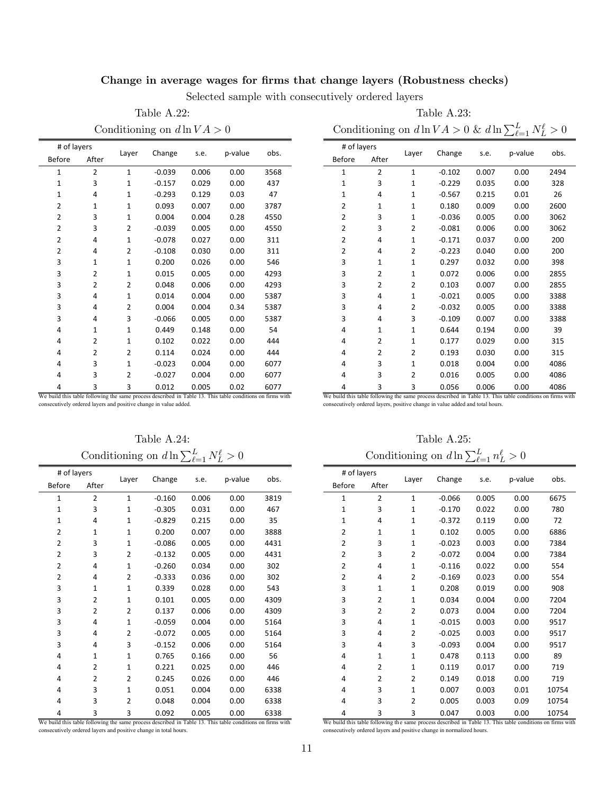## Change in average wages for firms that change layers (Robustness checks)

Selected sample with consecutively ordered layers

Table A.22: Table A.23:

Conditioning on  $d \ln V A > 0$  Conditioning on  $d \ln V A > 0$  &  $d \ln \sum_{\ell=1}^{L} N_{L}^{\ell} > 0$ 

| # of layers                                                                                               |                |                |          |       |         |      |
|-----------------------------------------------------------------------------------------------------------|----------------|----------------|----------|-------|---------|------|
| <b>Before</b>                                                                                             | After          | Layer          | Change   | s.e.  | p-value | obs. |
| $\mathbf{1}$                                                                                              | 2              | $\mathbf{1}$   | $-0.039$ | 0.006 | 0.00    | 3568 |
| $\mathbf{1}$                                                                                              | 3              | 1              | $-0.157$ | 0.029 | 0.00    | 437  |
| $\mathbf{1}$                                                                                              | 4              | $\mathbf{1}$   | $-0.293$ | 0.129 | 0.03    | 47   |
| $\overline{2}$                                                                                            | $\mathbf{1}$   | $\mathbf{1}$   | 0.093    | 0.007 | 0.00    | 3787 |
| $\overline{2}$                                                                                            | 3              | $\mathbf{1}$   | 0.004    | 0.004 | 0.28    | 4550 |
| 2                                                                                                         | 3              | 2              | $-0.039$ | 0.005 | 0.00    | 4550 |
| $\overline{2}$                                                                                            | 4              | $\mathbf{1}$   | $-0.078$ | 0.027 | 0.00    | 311  |
| $\overline{2}$                                                                                            | 4              | 2              | $-0.108$ | 0.030 | 0.00    | 311  |
| 3                                                                                                         | $\mathbf{1}$   | $\mathbf{1}$   | 0.200    | 0.026 | 0.00    | 546  |
| 3                                                                                                         | 2              | 1              | 0.015    | 0.005 | 0.00    | 4293 |
| 3                                                                                                         | $\overline{2}$ | $\overline{2}$ | 0.048    | 0.006 | 0.00    | 4293 |
| 3                                                                                                         | 4              | $\mathbf{1}$   | 0.014    | 0.004 | 0.00    | 5387 |
| 3                                                                                                         | 4              | 2              | 0.004    | 0.004 | 0.34    | 5387 |
| 3                                                                                                         | 4              | 3              | $-0.066$ | 0.005 | 0.00    | 5387 |
| 4                                                                                                         | 1              | $\mathbf{1}$   | 0.449    | 0.148 | 0.00    | 54   |
| 4                                                                                                         | 2              | $\mathbf{1}$   | 0.102    | 0.022 | 0.00    | 444  |
| 4                                                                                                         | $\overline{2}$ | 2              | 0.114    | 0.024 | 0.00    | 444  |
| 4                                                                                                         | 3              | $\mathbf{1}$   | $-0.023$ | 0.004 | 0.00    | 6077 |
| 4                                                                                                         | 3              | 2              | $-0.027$ | 0.004 | 0.00    | 6077 |
| 4                                                                                                         | 3              | 3              | 0.012    | 0.005 | 0.02    | 6077 |
| We build this table following the same process described in Table 13. This table conditions on firms with |                |                |          |       |         |      |

# of layers Layer Change s.e. <sup>p</sup>‐value obs. Before After 2 1 ‐0.102 0.007 0.00 2494 3 1 ‐0.229 0.035 0.00 328 4 1 ‐0.567 0.215 0.01 26 1 1 0.180 0.009 0.00 2600 3 1 ‐0.036 0.005 0.00 3062 3 2 ‐0.081 0.006 0.00 3062 4 1 ‐0.171 0.037 0.00 200 4 2 ‐0.223 0.040 0.00 200 1 1 0.297 0.032 0.00 398 2 1 0.072 0.006 0.00 2855 2 2 0.103 0.007 0.00 2855 4 1 ‐0.021 0.005 0.00 3388 4 2 ‐0.032 0.005 0.00 3388 4 3 ‐0.109 0.007 0.00 3388 1 1 0.644 0.194 0.00 39 2 1 0.177 0.029 0.00 315 2 2 0.193 0.030 0.00 315 3 1 0.018 0.004 0.00 4086 3 2 0.016 0.005 0.00 4086 3 3 0.056 0.006 0.00 4086

consecutively ordered layers and positive change in value added.

Table A.24: Table A.25: Conditioning on  $d \ln \sum_{\ell=1}^{L} N_{L}^{\ell}$ 

|                | # of layers    |                |          |       |         |      |
|----------------|----------------|----------------|----------|-------|---------|------|
| <b>Before</b>  | After          | Layer          | Change   | s.e.  | p-value | obs. |
| 1              | $\overline{2}$ | $\mathbf{1}$   | $-0.160$ | 0.006 | 0.00    | 3819 |
| $\mathbf{1}$   | 3              | 1              | $-0.305$ | 0.031 | 0.00    | 467  |
| $\mathbf{1}$   | 4              | $\mathbf{1}$   | $-0.829$ | 0.215 | 0.00    | 35   |
| $\overline{2}$ | $\mathbf{1}$   | $\mathbf{1}$   | 0.200    | 0.007 | 0.00    | 3888 |
| $\overline{2}$ | 3              | $\mathbf{1}$   | $-0.086$ | 0.005 | 0.00    | 4431 |
| 2              | 3              | 2              | $-0.132$ | 0.005 | 0.00    | 4431 |
| 2              | 4              | $\mathbf{1}$   | $-0.260$ | 0.034 | 0.00    | 302  |
| $\overline{2}$ | 4              | $\overline{2}$ | $-0.333$ | 0.036 | 0.00    | 302  |
| 3              | $\mathbf{1}$   | 1              | 0.339    | 0.028 | 0.00    | 543  |
| 3              | $\overline{2}$ | $\mathbf{1}$   | 0.101    | 0.005 | 0.00    | 4309 |
| 3              | $\overline{2}$ | $\overline{2}$ | 0.137    | 0.006 | 0.00    | 4309 |
| 3              | 4              | 1              | $-0.059$ | 0.004 | 0.00    | 5164 |
| 3              | 4              | 2              | $-0.072$ | 0.005 | 0.00    | 5164 |
| 3              | 4              | 3              | $-0.152$ | 0.006 | 0.00    | 5164 |
| 4              | $\mathbf{1}$   | $\mathbf{1}$   | 0.765    | 0.166 | 0.00    | 56   |
| 4              | 2              | $\mathbf{1}$   | 0.221    | 0.025 | 0.00    | 446  |
| 4              | $\overline{2}$ | $\overline{2}$ | 0.245    | 0.026 | 0.00    | 446  |
| 4              | 3              | $\mathbf{1}$   | 0.051    | 0.004 | 0.00    | 6338 |
| 4              | 3              | 2              | 0.048    | 0.004 | 0.00    | 6338 |
| 4              | 3              | 3              | 0.092    | 0.005 | 0.00    | 6338 |

We build this table following the same process described in Table 13. This table conditions on firms with consecutively ordered layers and positive change in total hours.

We build this table following the same process described in Table 13. This table conditions on firms with consecutively ordered layers, positive change in value added and total hours.

 $L^{\ell} > 0$  Conditioning on  $d \ln \sum_{\ell=1}^{L} n_L^{\ell} > 0$ 

| # of layers   |                | Layer        | Change   | s.e.  | p-value | obs.  |
|---------------|----------------|--------------|----------|-------|---------|-------|
| <b>Before</b> | After          |              |          |       |         |       |
| 1             | $\overline{2}$ | $\mathbf{1}$ | $-0.066$ | 0.005 | 0.00    | 6675  |
| $\mathbf{1}$  | 3              | $\mathbf{1}$ | $-0.170$ | 0.022 | 0.00    | 780   |
| $\mathbf{1}$  | 4              | $\mathbf{1}$ | $-0.372$ | 0.119 | 0.00    | 72    |
| 2             | $\mathbf{1}$   | $\mathbf{1}$ | 0.102    | 0.005 | 0.00    | 6886  |
| 2             | 3              | $\mathbf{1}$ | $-0.023$ | 0.003 | 0.00    | 7384  |
| 2             | 3              | 2            | $-0.072$ | 0.004 | 0.00    | 7384  |
| 2             | 4              | $\mathbf{1}$ | $-0.116$ | 0.022 | 0.00    | 554   |
| 2             | 4              | 2            | $-0.169$ | 0.023 | 0.00    | 554   |
| 3             | $\mathbf{1}$   | $\mathbf{1}$ | 0.208    | 0.019 | 0.00    | 908   |
| 3             | $\overline{2}$ | $\mathbf{1}$ | 0.034    | 0.004 | 0.00    | 7204  |
| 3             | $\overline{2}$ | 2            | 0.073    | 0.004 | 0.00    | 7204  |
| 3             | 4              | $\mathbf{1}$ | $-0.015$ | 0.003 | 0.00    | 9517  |
| 3             | 4              | 2            | $-0.025$ | 0.003 | 0.00    | 9517  |
| 3             | 4              | 3            | $-0.093$ | 0.004 | 0.00    | 9517  |
| 4             | $\mathbf{1}$   | $\mathbf{1}$ | 0.478    | 0.113 | 0.00    | 89    |
| 4             | $\overline{2}$ | $\mathbf{1}$ | 0.119    | 0.017 | 0.00    | 719   |
| 4             | $\overline{2}$ | 2            | 0.149    | 0.018 | 0.00    | 719   |
| 4             | 3              | $\mathbf{1}$ | 0.007    | 0.003 | 0.01    | 10754 |
| 4             | 3              | 2            | 0.005    | 0.003 | 0.09    | 10754 |
| 4             | 3              | 3            | 0.047    | 0.003 | 0.00    | 10754 |
|               |                |              |          |       |         |       |

We build this table following the same process described in Table 13. This table conditions on firms with ecutively ordered layers and positive change in normalized hours.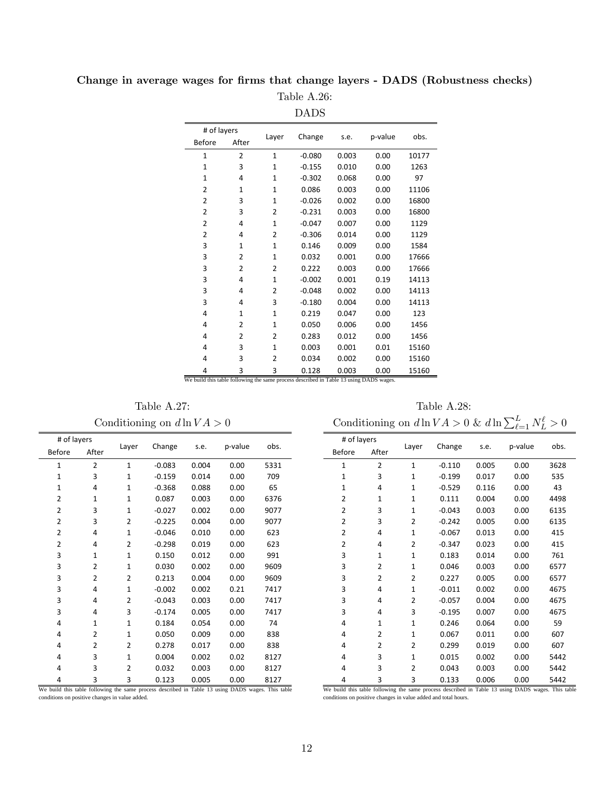|                                                                                        |                |                | <b>DADS</b> |       |         |       |
|----------------------------------------------------------------------------------------|----------------|----------------|-------------|-------|---------|-------|
| # of layers                                                                            |                |                |             |       |         |       |
| Before                                                                                 | After          | Layer          | Change      | s.e.  | p-value | obs.  |
| 1                                                                                      | 2              | $\mathbf{1}$   | $-0.080$    | 0.003 | 0.00    | 10177 |
| $\mathbf{1}$                                                                           | 3              | 1              | $-0.155$    | 0.010 | 0.00    | 1263  |
| $\mathbf{1}$                                                                           | 4              | $\mathbf{1}$   | $-0.302$    | 0.068 | 0.00    | 97    |
| 2                                                                                      | $\mathbf{1}$   | $\mathbf{1}$   | 0.086       | 0.003 | 0.00    | 11106 |
| $\overline{2}$                                                                         | 3              | $\mathbf{1}$   | $-0.026$    | 0.002 | 0.00    | 16800 |
| $\overline{2}$                                                                         | 3              | 2              | $-0.231$    | 0.003 | 0.00    | 16800 |
| $\overline{2}$                                                                         | 4              | $\mathbf{1}$   | $-0.047$    | 0.007 | 0.00    | 1129  |
| $\overline{2}$                                                                         | 4              | 2              | $-0.306$    | 0.014 | 0.00    | 1129  |
| 3                                                                                      | $\mathbf{1}$   | $\mathbf{1}$   | 0.146       | 0.009 | 0.00    | 1584  |
| 3                                                                                      | $\overline{2}$ | $\mathbf{1}$   | 0.032       | 0.001 | 0.00    | 17666 |
| 3                                                                                      | 2              | 2              | 0.222       | 0.003 | 0.00    | 17666 |
| 3                                                                                      | 4              | $\mathbf{1}$   | $-0.002$    | 0.001 | 0.19    | 14113 |
| 3                                                                                      | 4              | 2              | $-0.048$    | 0.002 | 0.00    | 14113 |
| 3                                                                                      | 4              | 3              | $-0.180$    | 0.004 | 0.00    | 14113 |
| 4                                                                                      | $\mathbf{1}$   | $\mathbf{1}$   | 0.219       | 0.047 | 0.00    | 123   |
| 4                                                                                      | $\overline{2}$ | 1              | 0.050       | 0.006 | 0.00    | 1456  |
| 4                                                                                      | $\overline{2}$ | $\overline{2}$ | 0.283       | 0.012 | 0.00    | 1456  |
| 4                                                                                      | 3              | $\mathbf{1}$   | 0.003       | 0.001 | 0.01    | 15160 |
| 4                                                                                      | 3              | $\overline{2}$ | 0.034       | 0.002 | 0.00    | 15160 |
| 4                                                                                      | 3              | 3              | 0.128       | 0.003 | 0.00    | 15160 |
| We build this table following the same process described in Table 13 using DADS wages. |                |                |             |       |         |       |

Change in average wages for firms that change layers - DADS (Robustness checks) Table A.26:

Table A.27: Table A.28:

Conditioning on  $d \ln V A > 0$  Conditioning on  $d \ln V A > 0$  &  $d \ln \sum_{\ell=1}^{L} N_{L}^{\ell} > 0$ 

| # of layers    |                |              |          |       |         |      |
|----------------|----------------|--------------|----------|-------|---------|------|
| <b>Before</b>  | After          | Layer        | Change   | s.e.  | p-value | obs. |
| $\mathbf{1}$   | $\overline{2}$ | $\mathbf{1}$ | $-0.083$ | 0.004 | 0.00    | 5331 |
| $\mathbf{1}$   | 3              | $\mathbf{1}$ | $-0.159$ | 0.014 | 0.00    | 709  |
| 1              | 4              | 1            | $-0.368$ | 0.088 | 0.00    | 65   |
| $\overline{2}$ | $\mathbf{1}$   | 1            | 0.087    | 0.003 | 0.00    | 6376 |
| $\overline{2}$ | 3              | 1            | $-0.027$ | 0.002 | 0.00    | 9077 |
| 2              | 3              | 2            | $-0.225$ | 0.004 | 0.00    | 9077 |
| $\overline{2}$ | 4              | 1            | $-0.046$ | 0.010 | 0.00    | 623  |
| 2              | 4              | 2            | $-0.298$ | 0.019 | 0.00    | 623  |
| 3              | $\mathbf{1}$   | $\mathbf{1}$ | 0.150    | 0.012 | 0.00    | 991  |
| 3              | $\overline{2}$ | $\mathbf{1}$ | 0.030    | 0.002 | 0.00    | 9609 |
| 3              | $\overline{2}$ | 2            | 0.213    | 0.004 | 0.00    | 9609 |
| 3              | 4              | $\mathbf{1}$ | $-0.002$ | 0.002 | 0.21    | 7417 |
| 3              | 4              | 2            | $-0.043$ | 0.003 | 0.00    | 7417 |
| 3              | 4              | 3            | $-0.174$ | 0.005 | 0.00    | 7417 |
| 4              | $\mathbf{1}$   | 1            | 0.184    | 0.054 | 0.00    | 74   |
| 4              | 2              | 1            | 0.050    | 0.009 | 0.00    | 838  |
| 4              | 2              | 2            | 0.278    | 0.017 | 0.00    | 838  |
| 4              | 3              | $\mathbf{1}$ | 0.004    | 0.002 | 0.02    | 8127 |
| 4              | 3              | 2            | 0.032    | 0.003 | 0.00    | 8127 |
|                |                |              |          |       |         |      |

| # of layers    |                                                                                                                                                                     |                | Change   |       | p-value | obs. |  |  |  |
|----------------|---------------------------------------------------------------------------------------------------------------------------------------------------------------------|----------------|----------|-------|---------|------|--|--|--|
| <b>Before</b>  | After                                                                                                                                                               | Layer          |          | s.e.  |         |      |  |  |  |
| 1              | $\overline{2}$                                                                                                                                                      | $\mathbf{1}$   | $-0.110$ | 0.005 | 0.00    | 3628 |  |  |  |
| $\mathbf{1}$   | 3                                                                                                                                                                   | 1              | $-0.199$ | 0.017 | 0.00    | 535  |  |  |  |
| 1              | 4                                                                                                                                                                   | 1              | $-0.529$ | 0.116 | 0.00    | 43   |  |  |  |
| 2              | $\mathbf{1}$                                                                                                                                                        | $\mathbf{1}$   | 0.111    | 0.004 | 0.00    | 4498 |  |  |  |
| 2              | 3                                                                                                                                                                   | $\mathbf{1}$   | $-0.043$ | 0.003 | 0.00    | 6135 |  |  |  |
| $\overline{2}$ | 3                                                                                                                                                                   | 2              | $-0.242$ | 0.005 | 0.00    | 6135 |  |  |  |
| 2              | 4                                                                                                                                                                   | 1              | $-0.067$ | 0.013 | 0.00    | 415  |  |  |  |
| 2              | 4                                                                                                                                                                   | 2              | $-0.347$ | 0.023 | 0.00    | 415  |  |  |  |
| 3              | $\mathbf{1}$                                                                                                                                                        | $\mathbf{1}$   | 0.183    | 0.014 | 0.00    | 761  |  |  |  |
| 3              | $\overline{2}$                                                                                                                                                      | $\mathbf{1}$   | 0.046    | 0.003 | 0.00    | 6577 |  |  |  |
| 3              | 2                                                                                                                                                                   | 2              | 0.227    | 0.005 | 0.00    | 6577 |  |  |  |
| 3              | 4                                                                                                                                                                   | $\mathbf{1}$   | $-0.011$ | 0.002 | 0.00    | 4675 |  |  |  |
| 3              | 4                                                                                                                                                                   | $\overline{2}$ | $-0.057$ | 0.004 | 0.00    | 4675 |  |  |  |
| 3              | 4                                                                                                                                                                   | 3              | $-0.195$ | 0.007 | 0.00    | 4675 |  |  |  |
| 4              | $\mathbf{1}$                                                                                                                                                        | $\mathbf{1}$   | 0.246    | 0.064 | 0.00    | 59   |  |  |  |
| 4              | 2                                                                                                                                                                   | $\mathbf{1}$   | 0.067    | 0.011 | 0.00    | 607  |  |  |  |
| 4              | $\overline{2}$                                                                                                                                                      | 2              | 0.299    | 0.019 | 0.00    | 607  |  |  |  |
| 4              | 3                                                                                                                                                                   | $\mathbf{1}$   | 0.015    | 0.002 | 0.00    | 5442 |  |  |  |
| 4              | 3                                                                                                                                                                   | 2              | 0.043    | 0.003 | 0.00    | 5442 |  |  |  |
| 4              | 3                                                                                                                                                                   | 3              | 0.133    | 0.006 | 0.00    | 5442 |  |  |  |
|                | We build this table following the same process described in Table 13 using DADS wages. This table<br>conditions on positive changes in value added and total hours. |                |          |       |         |      |  |  |  |

<sup>4 3 3 0.123 0.005 0.00 8127&</sup>lt;br>We build this table following the same process described in Table 13 using DADS wages. This table conditions on positive changes in value added.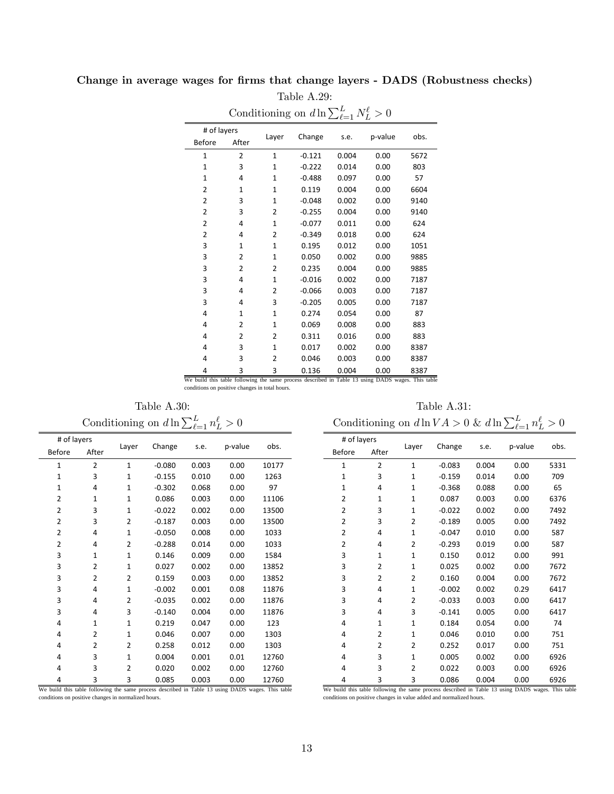| Conditioning on $d \ln \sum_{\ell=1}^{L} N_L^{\ell} > 0$ |                |                |          |       |         |      |  |  |  |
|----------------------------------------------------------|----------------|----------------|----------|-------|---------|------|--|--|--|
| # of layers                                              |                |                |          |       |         |      |  |  |  |
| Before                                                   | After          | Layer          | Change   | s.e.  | p-value | obs. |  |  |  |
| $\mathbf{1}$                                             | $\overline{2}$ | $\mathbf{1}$   | $-0.121$ | 0.004 | 0.00    | 5672 |  |  |  |
| $\mathbf{1}$                                             | 3              | $\mathbf{1}$   | $-0.222$ | 0.014 | 0.00    | 803  |  |  |  |
| $\mathbf{1}$                                             | 4              | $\mathbf{1}$   | $-0.488$ | 0.097 | 0.00    | 57   |  |  |  |
| 2                                                        | $\mathbf{1}$   | $\mathbf{1}$   | 0.119    | 0.004 | 0.00    | 6604 |  |  |  |
| 2                                                        | 3              | 1              | $-0.048$ | 0.002 | 0.00    | 9140 |  |  |  |
| $\overline{2}$                                           | 3              | $\overline{2}$ | $-0.255$ | 0.004 | 0.00    | 9140 |  |  |  |
| 2                                                        | 4              | $\mathbf{1}$   | $-0.077$ | 0.011 | 0.00    | 624  |  |  |  |
| $\overline{2}$                                           | 4              | 2              | $-0.349$ | 0.018 | 0.00    | 624  |  |  |  |
| 3                                                        | $\mathbf{1}$   | $\mathbf{1}$   | 0.195    | 0.012 | 0.00    | 1051 |  |  |  |
| 3                                                        | 2              | 1              | 0.050    | 0.002 | 0.00    | 9885 |  |  |  |
| 3                                                        | 2              | 2              | 0.235    | 0.004 | 0.00    | 9885 |  |  |  |
| 3                                                        | 4              | $\mathbf{1}$   | $-0.016$ | 0.002 | 0.00    | 7187 |  |  |  |
| 3                                                        | 4              | 2              | $-0.066$ | 0.003 | 0.00    | 7187 |  |  |  |
| 3                                                        | 4              | 3              | $-0.205$ | 0.005 | 0.00    | 7187 |  |  |  |
| 4                                                        | $\mathbf{1}$   | $\mathbf{1}$   | 0.274    | 0.054 | 0.00    | 87   |  |  |  |
| 4                                                        | 2              | $\mathbf{1}$   | 0.069    | 0.008 | 0.00    | 883  |  |  |  |
| 4                                                        | 2              | 2              | 0.311    | 0.016 | 0.00    | 883  |  |  |  |
| 4                                                        | 3              | $\mathbf{1}$   | 0.017    | 0.002 | 0.00    | 8387 |  |  |  |
| 4                                                        | 3              | $\overline{2}$ | 0.046    | 0.003 | 0.00    | 8387 |  |  |  |
| 4                                                        | ξ              | ς              | 0.136    | 0.004 | 0.00    | 8387 |  |  |  |

## Change in average wages for firms that change layers - DADS (Robustness checks) Table A.29:

4 3 3 0.136 0.004 0.00 8387 We build this table following the same process described in Table 13 using DADS wages. This table conditions on positive changes in total hours.

Table A.30: Table A.31:

| Conditioning on $d \ln \sum_{\ell=1}^{L} n_L^{\ell} > 0$ |              |              |          |       |         |       |  |  |
|----------------------------------------------------------|--------------|--------------|----------|-------|---------|-------|--|--|
| # of layers                                              |              |              |          |       |         |       |  |  |
| <b>Before</b>                                            | After        | Layer        | Change   | s.e.  | p-value | obs.  |  |  |
| 1                                                        | 2            | $\mathbf{1}$ | $-0.080$ | 0.003 | 0.00    | 10177 |  |  |
| 1                                                        | 3            | $\mathbf{1}$ | $-0.155$ | 0.010 | 0.00    | 1263  |  |  |
| 1                                                        | 4            | $\mathbf{1}$ | $-0.302$ | 0.068 | 0.00    | 97    |  |  |
| $\overline{2}$                                           | $\mathbf{1}$ | $\mathbf{1}$ | 0.086    | 0.003 | 0.00    | 11106 |  |  |
| 2                                                        | 3            | $\mathbf{1}$ | $-0.022$ | 0.002 | 0.00    | 13500 |  |  |
| 2                                                        | 3            | 2            | $-0.187$ | 0.003 | 0.00    | 13500 |  |  |
| 2                                                        | 4            | 1            | $-0.050$ | 0.008 | 0.00    | 1033  |  |  |
| 2                                                        | 4            | 2            | $-0.288$ | 0.014 | 0.00    | 1033  |  |  |
| 3                                                        | $\mathbf{1}$ | $\mathbf{1}$ | 0.146    | 0.009 | 0.00    | 1584  |  |  |
| 3                                                        | 2            | $\mathbf{1}$ | 0.027    | 0.002 | 0.00    | 13852 |  |  |
| 3                                                        | 2            | 2            | 0.159    | 0.003 | 0.00    | 13852 |  |  |
| 3                                                        | 4            | $\mathbf{1}$ | $-0.002$ | 0.001 | 0.08    | 11876 |  |  |
| 3                                                        | 4            | 2            | $-0.035$ | 0.002 | 0.00    | 11876 |  |  |
| 3                                                        | 4            | 3            | $-0.140$ | 0.004 | 0.00    | 11876 |  |  |
| 4                                                        | $\mathbf{1}$ | 1            | 0.219    | 0.047 | 0.00    | 123   |  |  |
| 4                                                        | 2            | $\mathbf{1}$ | 0.046    | 0.007 | 0.00    | 1303  |  |  |
| 4                                                        | 2            | 2            | 0.258    | 0.012 | 0.00    | 1303  |  |  |
| 4                                                        | 3            | 1            | 0.004    | 0.001 | 0.01    | 12760 |  |  |
| 4                                                        | 3            | 2            | 0.020    | 0.002 | 0.00    | 12760 |  |  |
| 4                                                        | 3            | 3            | 0.085    | 0.003 | 0.00    | 12760 |  |  |

 $L > 0$  Conditioning on  $d \ln V A > 0$  &  $d \ln \sum_{\ell=1}^{L} n_L^{\ell} > 0$ 

# of layers Layer Change s.e. <sup>p</sup>‐value obs. Before After

|                                                                     |  |  |  | 0.086                                                                                             |  | 0.004 |  |  | 0.00 | 6926 |  |
|---------------------------------------------------------------------|--|--|--|---------------------------------------------------------------------------------------------------|--|-------|--|--|------|------|--|
|                                                                     |  |  |  | We build this table following the same process described in Table 13 using DADS wages. This table |  |       |  |  |      |      |  |
| conditions on positive changes in value added and normalized hours. |  |  |  |                                                                                                   |  |       |  |  |      |      |  |

We build this table following the same process described in Table 13 using DADS wages. This table conditions on positive changes in normalized hours.

| 1              | 2 | 1 | $-0.083$ | 0.004 | 0.00 | 5331 |
|----------------|---|---|----------|-------|------|------|
| 1              | 3 | 1 | $-0.159$ | 0.014 | 0.00 | 709  |
| 1              | 4 | 1 | $-0.368$ | 0.088 | 0.00 | 65   |
| 2              | 1 | 1 | 0.087    | 0.003 | 0.00 | 6376 |
| $\overline{2}$ | 3 | 1 | $-0.022$ | 0.002 | 0.00 | 7492 |
| 2              | 3 | 2 | $-0.189$ | 0.005 | 0.00 | 7492 |
| $\overline{2}$ | 4 | 1 | $-0.047$ | 0.010 | 0.00 | 587  |
| $\overline{2}$ | 4 | 2 | $-0.293$ | 0.019 | 0.00 | 587  |
| 3              | 1 | 1 | 0.150    | 0.012 | 0.00 | 991  |
| 3              | 2 | 1 | 0.025    | 0.002 | 0.00 | 7672 |
| 3              | 2 | 2 | 0.160    | 0.004 | 0.00 | 7672 |
| 3              | 4 | 1 | $-0.002$ | 0.002 | 0.29 | 6417 |

 4 2 ‐0.033 0.003 0.00 6417 4 3 ‐0.141 0.005 0.00 6417 1 1 0.184 0.054 0.00 74 2 1 0.046 0.010 0.00 751 2 2 0.252 0.017 0.00 751 3 1 0.005 0.002 0.00 6926 3 2 0.022 0.003 0.00 6926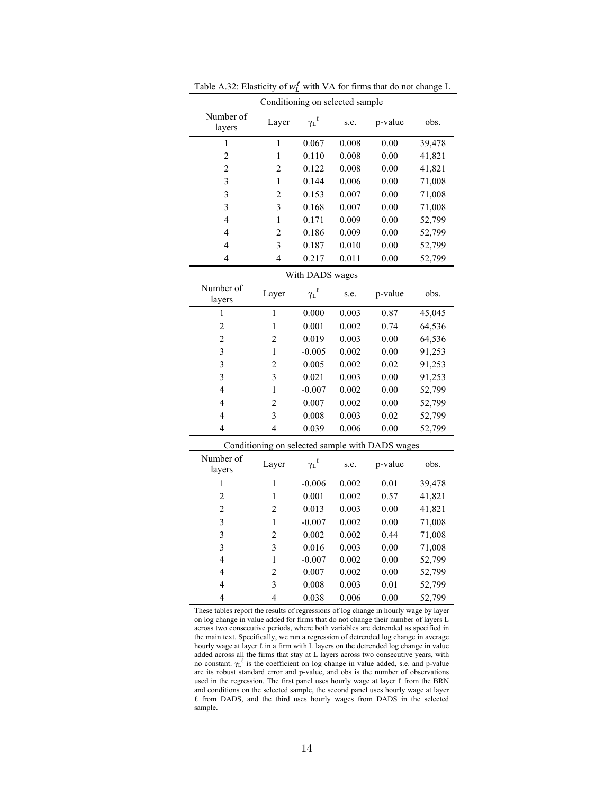| Conditioning on selected sample |                 |                     |       |                                                 |        |  |  |  |  |  |
|---------------------------------|-----------------|---------------------|-------|-------------------------------------------------|--------|--|--|--|--|--|
| Number of<br>layers             | Layer           | $\gamma_L{}^{\ell}$ | s.e.  | p-value                                         | obs.   |  |  |  |  |  |
| 1                               | $\mathbf{1}$    | 0.067               | 0.008 | 0.00                                            | 39,478 |  |  |  |  |  |
| $\overline{c}$                  | $\mathbf{1}$    | 0.110               | 0.008 | 0.00                                            | 41,821 |  |  |  |  |  |
| $\overline{c}$                  | $\overline{c}$  | 0.122               | 0.008 | 0.00                                            | 41,821 |  |  |  |  |  |
| 3                               | 1               | 0.144               | 0.006 | 0.00                                            | 71,008 |  |  |  |  |  |
| 3                               | $\overline{2}$  | 0.153               | 0.007 | 0.00                                            | 71,008 |  |  |  |  |  |
| 3                               | 3               | 0.168               | 0.007 | 0.00                                            | 71,008 |  |  |  |  |  |
| $\overline{4}$                  | 1               | 0.171               | 0.009 | 0.00                                            | 52,799 |  |  |  |  |  |
| 4                               | $\overline{c}$  | 0.186               | 0.009 | 0.00                                            | 52,799 |  |  |  |  |  |
| 4                               | 3               | 0.187               | 0.010 | 0.00                                            | 52,799 |  |  |  |  |  |
| 4                               | $\overline{4}$  | 0.217               | 0.011 | 0.00                                            | 52,799 |  |  |  |  |  |
|                                 | With DADS wages |                     |       |                                                 |        |  |  |  |  |  |
| Number of<br>layers             | Layer           | ${\gamma_L}^\ell$   | s.e.  | p-value                                         | obs.   |  |  |  |  |  |
| 1                               | $\mathbf{1}$    | 0.000               | 0.003 | 0.87                                            | 45,045 |  |  |  |  |  |
| $\overline{c}$                  | $\mathbf{1}$    | 0.001               | 0.002 | 0.74                                            | 64,536 |  |  |  |  |  |
| $\overline{c}$                  | $\overline{2}$  | 0.019               | 0.003 | 0.00                                            | 64,536 |  |  |  |  |  |
| 3                               | $\mathbf{1}$    | $-0.005$            | 0.002 | 0.00                                            | 91,253 |  |  |  |  |  |
| $\overline{\mathbf{3}}$         | $\overline{2}$  | 0.005               | 0.002 | 0.02                                            | 91,253 |  |  |  |  |  |
| $\overline{\mathbf{3}}$         | $\overline{3}$  | 0.021               | 0.003 | 0.00                                            | 91,253 |  |  |  |  |  |
| $\overline{4}$                  | $\mathbf{1}$    | $-0.007$            | 0.002 | 0.00                                            | 52,799 |  |  |  |  |  |
| $\overline{4}$                  | $\overline{c}$  | 0.007               | 0.002 | 0.00                                            | 52,799 |  |  |  |  |  |
| $\overline{4}$                  | $\overline{3}$  | 0.008               | 0.003 | 0.02                                            | 52,799 |  |  |  |  |  |
| $\overline{4}$                  | $\overline{4}$  | 0.039               | 0.006 | 0.00                                            | 52,799 |  |  |  |  |  |
|                                 |                 |                     |       | Conditioning on selected sample with DADS wages |        |  |  |  |  |  |
| Number of<br>layers             | Layer           | ${\gamma_L}^\ell$   | s.e.  | p-value                                         | obs.   |  |  |  |  |  |
| 1                               | $\overline{1}$  | $-0.006$            | 0.002 | 0.01                                            | 39,478 |  |  |  |  |  |
| $\overline{c}$                  | $\mathbf{1}$    | 0.001               | 0.002 | 0.57                                            | 41,821 |  |  |  |  |  |
| $\overline{c}$                  | $\overline{c}$  | 0.013               | 0.003 | 0.00                                            | 41,821 |  |  |  |  |  |
| 3                               | $\mathbf{1}$    | $-0.007$            | 0.002 | 0.00                                            | 71,008 |  |  |  |  |  |
| 3                               | $\overline{c}$  | 0.002               | 0.002 | 0.44                                            | 71,008 |  |  |  |  |  |
| 3                               | 3               | 0.016               | 0.003 | 0.00                                            | 71,008 |  |  |  |  |  |
| $\overline{\mathbf{4}}$         | $\mathbf{1}$    | $-0.007$            | 0.002 | 0.00                                            | 52,799 |  |  |  |  |  |
| $\overline{\mathcal{L}}$        | $\overline{c}$  | 0.007               | 0.002 | 0.00                                            | 52,799 |  |  |  |  |  |
| $\overline{4}$                  | 3               | 0.008               | 0.003 | 0.01                                            | 52,799 |  |  |  |  |  |
| 4                               | $\overline{4}$  | 0.038               | 0.006 | 0.00                                            | 52,799 |  |  |  |  |  |

Table A.32: Elasticity of  $w_L^{\ell}$  with VA for firms that do not change L

These tables report the results of regressions of log change in hourly wage by layer on log change in value added for firms that do not change their number of layers L across two consecutive periods, where both variables are detrended as specified in the main text. Specifically, we run a regression of detrended log change in average hourly wage at layer  $\ell$  in a firm with L layers on the detrended log change in value added across all the firms that stay at L layers across two consecutive years, with no constant.  $\gamma_L^{\ell}$  is the coefficient on log change in value added, s.e. and p-value are its robust standard error and p-value, and obs is the number of observations used in the regression. The first panel uses hourly wage at layer  $\ell$  from the BRN and conditions on the selected sample, the second panel uses hourly wage at layer ℓ from DADS, and the third uses hourly wages from DADS in the selected sample.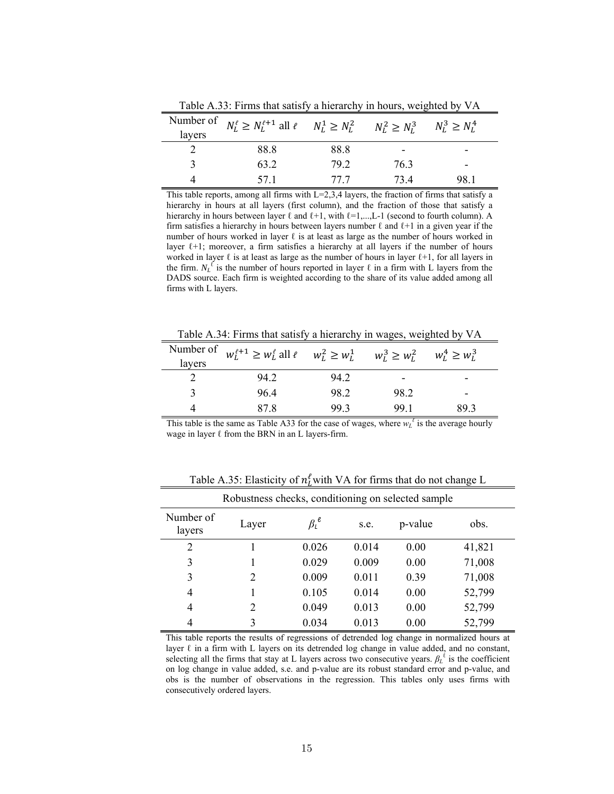| layers | Number of $N_L^{\ell} \ge N_L^{\ell+1}$ all $\ell$ $N_L^1 \ge N_L^2$ $N_L^2 \ge N_L^3$ |      |      | $N_L^3 \ge N_L^4$ |  |
|--------|----------------------------------------------------------------------------------------|------|------|-------------------|--|
|        | 88.8                                                                                   | 88.8 |      | -                 |  |
|        | 63.2                                                                                   | 79.2 | 76.3 | -                 |  |
|        | 57 1                                                                                   | 77 7 | 73 4 | 98.1              |  |

Table A.33: Firms that satisfy a hierarchy in hours, weighted by VA

This table reports, among all firms with  $L=2,3,4$  layers, the fraction of firms that satisfy a hierarchy in hours at all layers (first column), and the fraction of those that satisfy a hierarchy in hours between layer  $\ell$  and  $\ell+1$ , with  $\ell=1,...,L-1$  (second to fourth column). A firm satisfies a hierarchy in hours between layers number  $\ell$  and  $\ell+1$  in a given year if the number of hours worked in layer  $\ell$  is at least as large as the number of hours worked in layer  $l+1$ ; moreover, a firm satisfies a hierarchy at all layers if the number of hours worked in layer  $\ell$  is at least as large as the number of hours in layer  $\ell+1$ , for all layers in the firm.  $N_L^{\ell}$  is the number of hours reported in layer  $\ell$  in a firm with L layers from the DADS source. Each firm is weighted according to the share of its value added among all firms with L layers.

Table A.34: Firms that satisfy a hierarchy in wages, weighted by VA

| layers | Number of $w_L^{\ell+1} \ge w_L^{\ell}$ all $\ell \le w_L^2 \ge w_L^1 \le w_L^3 \ge w_L^2$ |      |      | $W_L^4 \geq W_L^3$ |
|--------|--------------------------------------------------------------------------------------------|------|------|--------------------|
|        | 94 2                                                                                       | 94.2 |      |                    |
|        | 964                                                                                        | 98.2 | 98.2 |                    |
|        | 87 8                                                                                       | 993  | 991  | 89 3               |

This table is the same as Table A33 for the case of wages, where  $w_L^{\ell}$  is the average hourly wage in layer  $\ell$  from the BRN in an L layers-firm.

| Robustness checks, conditioning on selected sample |       |                  |       |         |        |  |  |  |  |
|----------------------------------------------------|-------|------------------|-------|---------|--------|--|--|--|--|
| Number of<br>layers                                | Layer | $\beta_l^{\ell}$ | s.e.  | p-value | obs.   |  |  |  |  |
| 2                                                  |       | 0.026            | 0.014 | 0.00    | 41,821 |  |  |  |  |
| 3                                                  |       | 0.029            | 0.009 | 0.00    | 71,008 |  |  |  |  |
| 3                                                  | 2     | 0.009            | 0.011 | 0.39    | 71,008 |  |  |  |  |
| 4                                                  |       | 0.105            | 0.014 | 0.00    | 52,799 |  |  |  |  |
| 4                                                  | 2     | 0.049            | 0.013 | 0.00    | 52,799 |  |  |  |  |
| 4                                                  | 3     | 0.034            | 0.013 | 0.00    | 52,799 |  |  |  |  |

Table A.35: Elasticity of  $n_l^{\ell}$  with VA for firms that do not change L

This table reports the results of regressions of detrended log change in normalized hours at layer  $\ell$  in a firm with L layers on its detrended log change in value added, and no constant, selecting all the firms that stay at L layers across two consecutive years.  $\beta_L^{\ell}$  is the coefficient on log change in value added, s.e. and p-value are its robust standard error and p-value, and obs is the number of observations in the regression. This tables only uses firms with consecutively ordered layers.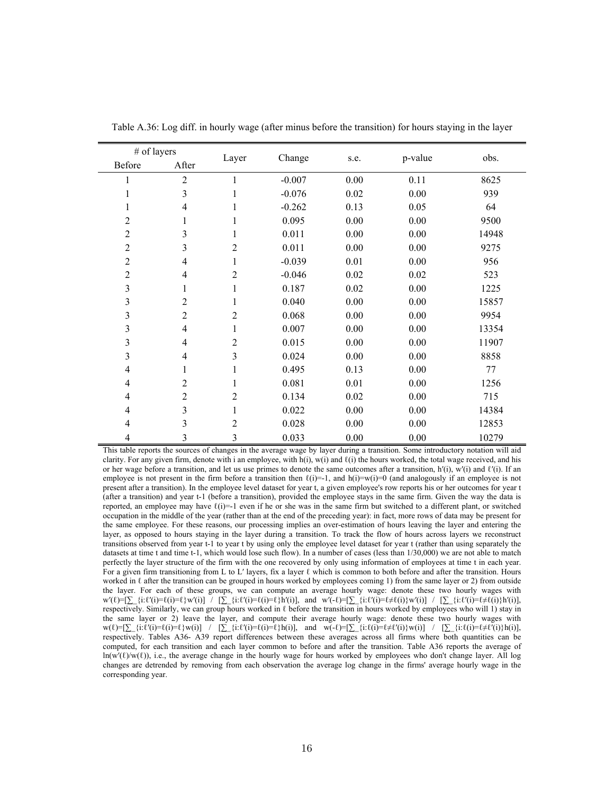| # of layers    |                |                |          |      |         |       |
|----------------|----------------|----------------|----------|------|---------|-------|
| Before         | After          | Layer          | Change   | s.e. | p-value | obs.  |
| 1              | $\overline{2}$ | 1              | $-0.007$ | 0.00 | 0.11    | 8625  |
| $\mathbf{1}$   | 3              | 1              | $-0.076$ | 0.02 | 0.00    | 939   |
| 1              | 4              | 1              | $-0.262$ | 0.13 | 0.05    | 64    |
| $\overline{2}$ | 1              | 1              | 0.095    | 0.00 | 0.00    | 9500  |
| $\overline{2}$ | 3              | 1              | 0.011    | 0.00 | 0.00    | 14948 |
| $\overline{2}$ | 3              | 2              | 0.011    | 0.00 | 0.00    | 9275  |
| $\overline{2}$ | $\overline{4}$ | 1              | $-0.039$ | 0.01 | 0.00    | 956   |
| $\overline{2}$ | 4              | 2              | $-0.046$ | 0.02 | 0.02    | 523   |
| 3              | 1              | 1              | 0.187    | 0.02 | 0.00    | 1225  |
| 3              | 2              | 1              | 0.040    | 0.00 | 0.00    | 15857 |
| 3              | $\overline{2}$ | $\overline{2}$ | 0.068    | 0.00 | 0.00    | 9954  |
| $\mathfrak{Z}$ | $\overline{4}$ | 1              | 0.007    | 0.00 | 0.00    | 13354 |
| 3              | 4              | $\overline{2}$ | 0.015    | 0.00 | 0.00    | 11907 |
| 3              | $\overline{4}$ | 3              | 0.024    | 0.00 | 0.00    | 8858  |
| $\overline{4}$ | 1              | 1              | 0.495    | 0.13 | 0.00    | 77    |
| 4              | $\overline{2}$ | 1              | 0.081    | 0.01 | 0.00    | 1256  |
| 4              | $\overline{2}$ | $\overline{2}$ | 0.134    | 0.02 | 0.00    | 715   |
| 4              | 3              | 1              | 0.022    | 0.00 | 0.00    | 14384 |
| 4              | 3              | 2              | 0.028    | 0.00 | 0.00    | 12853 |
| 4              | 3              | 3              | 0.033    | 0.00 | 0.00    | 10279 |

Table A.36: Log diff. in hourly wage (after minus before the transition) for hours staying in the layer

This table reports the sources of changes in the average wage by layer during a transition. Some introductory notation will aid clarity. For any given firm, denote with i an employee, with h(i), w(i) and  $\ell(i)$  the hours worked, the total wage received, and his or her wage before a transition, and let us use primes to denote the same outcomes after a transition,  $h'(i)$ ,  $w'(i)$  and  $\ell'(i)$ . If an employee is not present in the firm before a transition then  $\ell(i)=1$ , and  $h(i)=w(i)=0$  (and analogously if an employee is not present after a transition). In the employee level dataset for year t, a given employee's row reports his or her outcomes for year t (after a transition) and year t-1 (before a transition), provided the employee stays in the same firm. Given the way the data is reported, an employee may have  $\ell(i)=1$  even if he or she was in the same firm but switched to a different plant, or switched occupation in the middle of the year (rather than at the end of the preceding year): in fact, more rows of data may be present for the same employee. For these reasons, our processing implies an over-estimation of hours leaving the layer and entering the layer, as opposed to hours staying in the layer during a transition. To track the flow of hours across layers we reconstruct transitions observed from year t-1 to year t by using only the employee level dataset for year t (rather than using separately the datasets at time t and time t-1, which would lose such flow). In a number of cases (less than  $1/30,000$ ) we are not able to match perfectly the layer structure of the firm with the one recovered by only using information of employees at time t in each year. For a given firm transitioning from L to L' layers, fix a layer  $\ell$  which is common to both before and after the transition. Hours worked in  $\ell$  after the transition can be grouped in hours worked by employees coming 1) from the same layer or 2) from outside the layer. For each of these groups, we can compute an average hourly wage: denote these two hourly wages with  $\mathbf{w}'(\ell) = [\sum_i \{i : \ell'(i) = \ell\} \mathbf{w}'(i)] \quad / \quad [\sum_i \{i : \ell'(i) = \ell\} \mathbf{h}'(i)], \text{ and } \mathbf{w}'(\ell) = [\sum_i \{i : \ell'(i) = \ell \neq \ell(i)\} \mathbf{w}'(i)] \quad / \quad [\sum_i \{i : \ell'(i) = \ell \neq \ell(i)\} \mathbf{h}'(i)].$ respectively. Similarly, we can group hours worked in  $\ell$  before the transition in hours worked by employees who will 1) stay in the same layer or 2) leave the layer, and compute their average hourly wage: denote these two hourly wages with  $w(\ell) = [\sum_i \{i:\ell'(i)=\ell\}w(i)]$  /  $[\sum_i \{i:\ell'(i)=\ell\}h(i)]$ , and  $w(\ell) = [\sum_i \{i:\ell(i)=\ell\neq\ell'(i)\}w(i)]$  /  $[\sum_i \{i:\ell(i)=\ell\neq\ell'(i)\}h(i)]$ , respectively. Tables A36- A39 report differences between these averages across all firms where both quantities can be computed, for each transition and each layer common to before and after the transition. Table A36 reports the average of ln(w'(ℓ)/w(ℓ)), i.e., the average change in the hourly wage for hours worked by employees who don't change layer. All log changes are detrended by removing from each observation the average log change in the firms' average hourly wage in the corresponding year.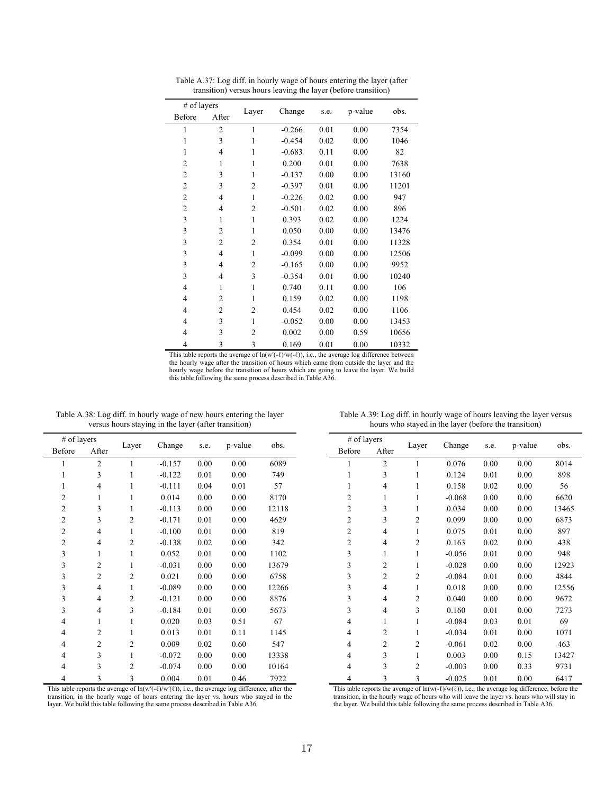| # of layers    |                |                |          |      |         | obs.  |
|----------------|----------------|----------------|----------|------|---------|-------|
| Before         | After          | Layer          | Change   | s.e. | p-value |       |
| 1              | $\overline{2}$ | 1              | $-0.266$ | 0.01 | 0.00    | 7354  |
| $\mathbf{1}$   | 3              | $\mathbf{1}$   | $-0.454$ | 0.02 | 0.00    | 1046  |
| 1              | 4              | $\mathbf{1}$   | $-0.683$ | 0.11 | 0.00    | 82    |
| $\overline{2}$ | 1              | 1              | 0.200    | 0.01 | 0.00    | 7638  |
| $\overline{2}$ | 3              | 1              | $-0.137$ | 0.00 | 0.00    | 13160 |
| $\overline{2}$ | 3              | 2              | $-0.397$ | 0.01 | 0.00    | 11201 |
| $\overline{2}$ | $\overline{4}$ | $\mathbf{1}$   | $-0.226$ | 0.02 | 0.00    | 947   |
| $\overline{2}$ | 4              | 2              | $-0.501$ | 0.02 | 0.00    | 896   |
| 3              | 1              | $\mathbf{1}$   | 0.393    | 0.02 | 0.00    | 1224  |
| 3              | $\overline{2}$ | 1              | 0.050    | 0.00 | 0.00    | 13476 |
| 3              | $\overline{2}$ | 2              | 0.354    | 0.01 | 0.00    | 11328 |
| 3              | 4              | $\mathbf{1}$   | $-0.099$ | 0.00 | 0.00    | 12506 |
| 3              | 4              | 2              | $-0.165$ | 0.00 | 0.00    | 9952  |
| 3              | $\overline{4}$ | 3              | $-0.354$ | 0.01 | 0.00    | 10240 |
| $\overline{4}$ | $\mathbf{1}$   | $\mathbf{1}$   | 0.740    | 0.11 | 0.00    | 106   |
| $\overline{4}$ | $\overline{2}$ | $\mathbf{1}$   | 0.159    | 0.02 | 0.00    | 1198  |
| $\overline{4}$ | $\overline{2}$ | $\overline{c}$ | 0.454    | 0.02 | 0.00    | 1106  |
| 4              | 3              | $\mathbf{1}$   | $-0.052$ | 0.00 | 0.00    | 13453 |
| 4              | 3              | 2              | 0.002    | 0.00 | 0.59    | 10656 |
| 4              | $\overline{3}$ | 3              | 0.169    | 0.01 | 0.00    | 10332 |

Table A.37: Log diff. in hourly wage of hours entering the layer (after transition) versus hours leaving the layer (before transition)

This table reports the average of  $ln(w'(-\ell)/w(-\ell))$ , i.e., the average log difference between the hourly wage after the transition of hours which came from outside the layer and the hourly wage before the transition of hours which are going to leave the layer. We build this table following the same process described in Table A36.

|                | $#$ of layers  |                |          |      |         |       |
|----------------|----------------|----------------|----------|------|---------|-------|
| Before         | After          | Layer          | Change   | s.e. | p-value | obs.  |
| 1              | $\overline{2}$ | 1              | $-0.157$ | 0.00 | 0.00    | 6089  |
| 1              | 3              | 1              | $-0.122$ | 0.01 | 0.00    | 749   |
| $\mathbf{1}$   | 4              | 1              | $-0.111$ | 0.04 | 0.01    | 57    |
| $\overline{2}$ | 1              | 1              | 0.014    | 0.00 | 0.00    | 8170  |
| $\overline{2}$ | 3              | 1              | $-0.113$ | 0.00 | 0.00    | 12118 |
| $\overline{2}$ | 3              | $\overline{2}$ | $-0.171$ | 0.01 | 0.00    | 4629  |
| $\overline{2}$ | 4              | 1              | $-0.100$ | 0.01 | 0.00    | 819   |
| $\overline{c}$ | 4              | 2              | $-0.138$ | 0.02 | 0.00    | 342   |
| 3              | 1              | $\mathbf{1}$   | 0.052    | 0.01 | 0.00    | 1102  |
| 3              | $\overline{2}$ | 1              | $-0.031$ | 0.00 | 0.00    | 13679 |
| 3              | 2              | 2              | 0.021    | 0.00 | 0.00    | 6758  |
| 3              | 4              | $\mathbf{1}$   | $-0.089$ | 0.00 | 0.00    | 12266 |
| 3              | 4              | 2              | $-0.121$ | 0.00 | 0.00    | 8876  |
| 3              | 4              | 3              | $-0.184$ | 0.01 | 0.00    | 5673  |
| $\overline{4}$ | 1              | 1              | 0.020    | 0.03 | 0.51    | 67    |
| 4              | $\overline{2}$ | 1              | 0.013    | 0.01 | 0.11    | 1145  |
| 4              | 2              | 2              | 0.009    | 0.02 | 0.60    | 547   |
| 4              | 3              | $\mathbf{1}$   | $-0.072$ | 0.00 | 0.00    | 13338 |
| 4              | 3              | 2              | $-0.074$ | 0.00 | 0.00    | 10164 |
| 4              | 3              | 3              | 0.004    | 0.01 | 0.46    | 7922  |

Table A.38: Log diff. in hourly wage of new hours entering the layer versus hours staying in the layer (after transition)

This table reports the average of  $\ln(w'(-\ell)/w'(\ell))$ , i.e., the average log difference, after the transition, in the hourly wage of hours entering the layer vs. hours who stayed in the layer. We build this table following the same process described in Table A36.

| # of layers    |                |                |          |      |         |       |
|----------------|----------------|----------------|----------|------|---------|-------|
| Before         | After          | Layer          | Change   | s.e. | p-value | obs.  |
| 1              | $\overline{2}$ | 1              | 0.076    | 0.00 | 0.00    | 8014  |
| 1              | 3              | 1              | 0.124    | 0.01 | 0.00    | 898   |
| 1              | 4              | 1              | 0.158    | 0.02 | 0.00    | 56    |
| 2              | 1              | 1              | $-0.068$ | 0.00 | 0.00    | 6620  |
| 2              | 3              | 1              | 0.034    | 0.00 | 0.00    | 13465 |
| 2              | 3              | 2              | 0.099    | 0.00 | 0.00    | 6873  |
| $\overline{c}$ | $\overline{4}$ | 1              | 0.075    | 0.01 | 0.00    | 897   |
| 2              | 4              | $\overline{2}$ | 0.163    | 0.02 | 0.00    | 438   |
| 3              | 1              | 1              | $-0.056$ | 0.01 | 0.00    | 948   |
| 3              | $\overline{2}$ | 1              | $-0.028$ | 0.00 | 0.00    | 12923 |
| 3              | $\overline{2}$ | $\overline{2}$ | $-0.084$ | 0.01 | 0.00    | 4844  |
| 3              | 4              | 1              | 0.018    | 0.00 | 0.00    | 12556 |
| 3              | 4              | $\overline{2}$ | 0.040    | 0.00 | 0.00    | 9672  |
| 3              | 4              | 3              | 0.160    | 0.01 | 0.00    | 7273  |
| 4              | 1              | 1              | $-0.084$ | 0.03 | 0.01    | 69    |
| 4              | 2              | 1              | $-0.034$ | 0.01 | 0.00    | 1071  |
| $\overline{4}$ | $\overline{2}$ | $\overline{2}$ | $-0.061$ | 0.02 | 0.00    | 463   |
| 4              | 3              | 1              | 0.003    | 0.00 | 0.15    | 13427 |
| 4              | 3              | 2              | $-0.003$ | 0.00 | 0.33    | 9731  |
| 4              | $\overline{3}$ | 3              | $-0.025$ | 0.01 | 0.00    | 6417  |

Table A.39: Log diff. in hourly wage of hours leaving the layer versus hours who stayed in the layer (before the transition)

This table reports the average of  $\text{ln}(w(-\ell)/w(\ell))$ , i.e., the average log difference, before the transition, in the hourly wage of hours who will leave the layer vs. hours who will stay in the layer. We build this table following the same process described in Table A36.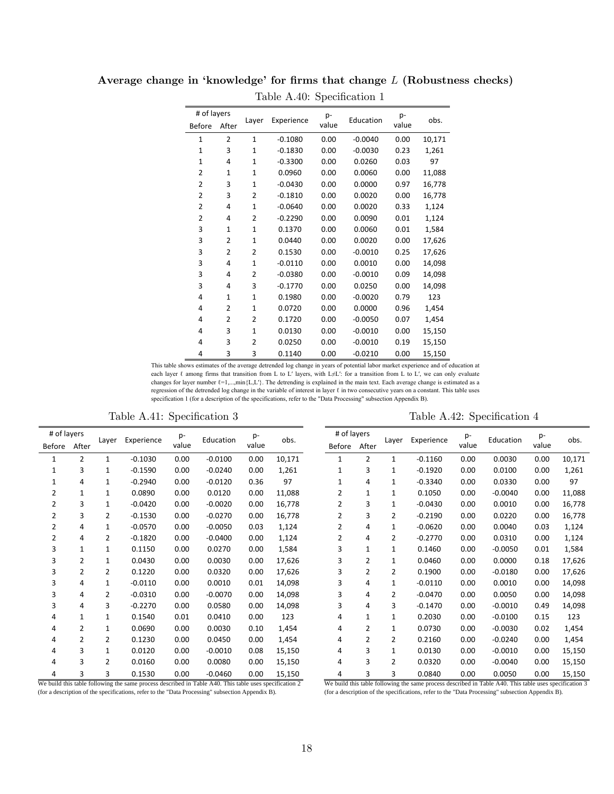| # of layers<br><b>Before</b> | After          | Layer          | p-<br>Experience<br>value |      | Education | p-<br>value | obs.   |
|------------------------------|----------------|----------------|---------------------------|------|-----------|-------------|--------|
| $\mathbf{1}$                 | $\overline{2}$ | $\mathbf{1}$   | $-0.1080$                 | 0.00 | $-0.0040$ | 0.00        | 10,171 |
| $\mathbf{1}$                 | 3              | 1              | $-0.1830$                 | 0.00 | $-0.0030$ | 0.23        | 1,261  |
| $\mathbf{1}$                 | 4              | $\mathbf{1}$   | $-0.3300$                 | 0.00 | 0.0260    | 0.03        | 97     |
| 2                            | 1              | 1              | 0.0960                    | 0.00 | 0.0060    | 0.00        | 11,088 |
| $\overline{2}$               | 3              | $\mathbf{1}$   | $-0.0430$                 | 0.00 | 0.0000    | 0.97        | 16,778 |
| 2                            | 3              | $\overline{2}$ | $-0.1810$                 | 0.00 | 0.0020    | 0.00        | 16,778 |
| 2                            | 4              | $\mathbf{1}$   | $-0.0640$                 | 0.00 | 0.0020    | 0.33        | 1,124  |
| $\overline{2}$               | 4              | $\overline{2}$ | $-0.2290$                 | 0.00 | 0.0090    | 0.01        | 1,124  |
| 3                            | $\mathbf{1}$   | $\mathbf{1}$   | 0.1370                    | 0.00 | 0.0060    | 0.01        | 1,584  |
| 3                            | 2              | $\mathbf{1}$   | 0.0440                    | 0.00 | 0.0020    | 0.00        | 17,626 |
| 3                            | 2              | 2              | 0.1530                    | 0.00 | $-0.0010$ | 0.25        | 17,626 |
| 3                            | 4              | $\mathbf{1}$   | $-0.0110$                 | 0.00 | 0.0010    | 0.00        | 14,098 |
| 3                            | 4              | 2              | $-0.0380$                 | 0.00 | $-0.0010$ | 0.09        | 14,098 |
| 3                            | 4              | 3              | $-0.1770$                 | 0.00 | 0.0250    | 0.00        | 14,098 |
| 4                            | 1              | 1              | 0.1980                    | 0.00 | $-0.0020$ | 0.79        | 123    |
| 4                            | 2              | $\mathbf{1}$   | 0.0720                    | 0.00 | 0.0000    | 0.96        | 1,454  |
| 4                            | 2              | $\overline{2}$ | 0.1720                    | 0.00 | $-0.0050$ | 0.07        | 1,454  |
| 4                            | 3              | $\mathbf{1}$   | 0.0130                    | 0.00 | $-0.0010$ | 0.00        | 15,150 |
| 4                            | 3              | $\overline{2}$ | 0.0250                    | 0.00 | $-0.0010$ | 0.19        | 15,150 |
| 4                            | 3              | 3              | 0.1140                    | 0.00 | $-0.0210$ | 0.00        | 15,150 |

Average change in 'knowledge' for firms that change  $L$  (Robustness checks)

Table A.40: Specification 1

| This table shows estimates of the average detrended log change in years of potential labor market experience and of education at           |
|--------------------------------------------------------------------------------------------------------------------------------------------|
| each layer $\ell$ among firms that transition from L to L' layers, with L $\neq L'$ : for a transition from L to L', we can only evaluate  |
| changes for layer number $\ell = 1,,\min\{L\}$ . The detrending is explained in the main text. Each average change is estimated as a       |
| regression of the detrended log change in the variable of interest in layer $\ell$ in two consecutive years on a constant. This table uses |
| specification 1 (for a description of the specifications, refer to the "Data Processing" subsection Appendix B).                           |

Table A.41: Specification 3 Table A.42: Specification 4

| # of layers  |                |                | Experience | $p-$  | Education | $p-$  | obs.   | # of layers    |                |                | Experience | p-    | Education | $p-$  |        |
|--------------|----------------|----------------|------------|-------|-----------|-------|--------|----------------|----------------|----------------|------------|-------|-----------|-------|--------|
| Before After |                | Layer          |            | value |           | value |        | Before After   |                | Layer          |            | value |           | value | obs.   |
| 1            | $\overline{2}$ | 1              | $-0.1030$  | 0.00  | $-0.0100$ | 0.00  | 10,171 | 1              | $\overline{2}$ | $\mathbf{1}$   | $-0.1160$  | 0.00  | 0.0030    | 0.00  | 10,171 |
|              | 3              | 1              | $-0.1590$  | 0.00  | $-0.0240$ | 0.00  | 1,261  | 1              | 3              | 1              | $-0.1920$  | 0.00  | 0.0100    | 0.00  | 1,261  |
| 1            | 4              | 1              | $-0.2940$  | 0.00  | $-0.0120$ | 0.36  | 97     | $\mathbf{1}$   | 4              | 1              | $-0.3340$  | 0.00  | 0.0330    | 0.00  | 97     |
| 2            | $\mathbf{1}$   | 1              | 0.0890     | 0.00  | 0.0120    | 0.00  | 11,088 | 2              | $\mathbf{1}$   | $\mathbf{1}$   | 0.1050     | 0.00  | $-0.0040$ | 0.00  | 11,088 |
| 2            | 3              | 1              | $-0.0420$  | 0.00  | $-0.0020$ | 0.00  | 16,778 | 2              | 3              | $\mathbf{1}$   | $-0.0430$  | 0.00  | 0.0010    | 0.00  | 16,778 |
| 2            | 3              | 2              | $-0.1530$  | 0.00  | $-0.0270$ | 0.00  | 16,778 | $\overline{2}$ | 3              | $\overline{2}$ | $-0.2190$  | 0.00  | 0.0220    | 0.00  | 16,778 |
| 2            | 4              | 1              | $-0.0570$  | 0.00  | $-0.0050$ | 0.03  | 1,124  | 2              | 4              | $\mathbf{1}$   | $-0.0620$  | 0.00  | 0.0040    | 0.03  | 1,124  |
| 2            | 4              | $\overline{2}$ | $-0.1820$  | 0.00  | $-0.0400$ | 0.00  | 1,124  | $\overline{2}$ | 4              | 2              | $-0.2770$  | 0.00  | 0.0310    | 0.00  | 1,124  |
| 3            | $\mathbf{1}$   | $\mathbf{1}$   | 0.1150     | 0.00  | 0.0270    | 0.00  | 1,584  | 3              | $\mathbf{1}$   | $\mathbf{1}$   | 0.1460     | 0.00  | $-0.0050$ | 0.01  | 1,584  |
| 3            | $\overline{2}$ | 1              | 0.0430     | 0.00  | 0.0030    | 0.00  | 17,626 | 3              | $\overline{2}$ | 1              | 0.0460     | 0.00  | 0.0000    | 0.18  | 17,626 |
| 3            | 2              | 2              | 0.1220     | 0.00  | 0.0320    | 0.00  | 17,626 | 3              | 2              | 2              | 0.1900     | 0.00  | $-0.0180$ | 0.00  | 17,626 |
| 3            | 4              | 1              | $-0.0110$  | 0.00  | 0.0010    | 0.01  | 14,098 | 3              | 4              | $\mathbf{1}$   | $-0.0110$  | 0.00  | 0.0010    | 0.00  | 14,098 |
| 3            | 4              | 2              | $-0.0310$  | 0.00  | $-0.0070$ | 0.00  | 14,098 | 3              | 4              | 2              | $-0.0470$  | 0.00  | 0.0050    | 0.00  | 14,098 |
| 3            | 4              | 3              | $-0.2270$  | 0.00  | 0.0580    | 0.00  | 14,098 | 3              | 4              | 3              | $-0.1470$  | 0.00  | $-0.0010$ | 0.49  | 14,098 |
| 4            | $\mathbf{1}$   | 1              | 0.1540     | 0.01  | 0.0410    | 0.00  | 123    | 4              | $\mathbf{1}$   | 1              | 0.2030     | 0.00  | $-0.0100$ | 0.15  | 123    |
| 4            | $\overline{2}$ | 1              | 0.0690     | 0.00  | 0.0030    | 0.10  | 1,454  | 4              | $\overline{2}$ | 1              | 0.0730     | 0.00  | $-0.0030$ | 0.02  | 1,454  |
| 4            | 2              | 2              | 0.1230     | 0.00  | 0.0450    | 0.00  | 1,454  | 4              | 2              | 2              | 0.2160     | 0.00  | $-0.0240$ | 0.00  | 1,454  |
| 4            | 3              | 1              | 0.0120     | 0.00  | $-0.0010$ | 0.08  | 15,150 | 4              | 3              | $\mathbf{1}$   | 0.0130     | 0.00  | $-0.0010$ | 0.00  | 15,150 |
| 4            | 3              | 2              | 0.0160     | 0.00  | 0.0080    | 0.00  | 15,150 | 4              | 3              | 2              | 0.0320     | 0.00  | $-0.0040$ | 0.00  | 15,150 |
| 4            | 3              | 3              | 0.1530     | 0.00  | $-0.0460$ | 0.00  | 15,150 | 4              | 3              | 3              | 0.0840     | 0.00  | 0.0050    | 0.00  | 15,150 |

We build this table following the same process described in Table A40. This table uses specification 2 (for a description of the specifications, refer to the "Data Processing" subsection Appendix B).

We build this table following the same process described in Table A40. This table uses specification 3 (for a description of the specifications, refer to the "Data Processing" subsection Appendix B).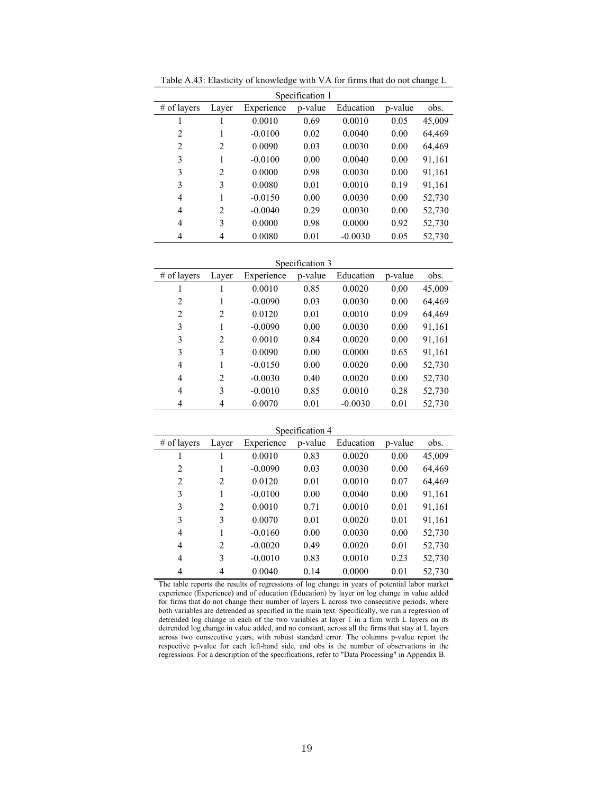| Specification 1 |       |            |         |           |         |        |  |  |  |
|-----------------|-------|------------|---------|-----------|---------|--------|--|--|--|
| $#$ of layers   | Layer | Experience | p-value | Education | p-value | obs.   |  |  |  |
|                 |       | 0.0010     | 0.69    | 0.0010    | 0.05    | 45,009 |  |  |  |
| 2               | 1     | $-0.0100$  | 0.02    | 0.0040    | 0.00    | 64,469 |  |  |  |
| $\overline{2}$  | 2     | 0.0090     | 0.03    | 0.0030    | 0.00    | 64,469 |  |  |  |
| 3               | 1     | $-0.0100$  | 0.00    | 0.0040    | 0.00    | 91,161 |  |  |  |
| 3               | 2     | 0.0000     | 0.98    | 0.0030    | 0.00    | 91,161 |  |  |  |
| 3               | 3     | 0.0080     | 0.01    | 0.0010    | 0.19    | 91,161 |  |  |  |
| 4               | 1     | $-0.0150$  | 0.00    | 0.0030    | 0.00    | 52,730 |  |  |  |
| 4               | 2     | $-0.0040$  | 0.29    | 0.0030    | 0.00    | 52,730 |  |  |  |
| 4               | 3     | 0.0000     | 0.98    | 0.0000    | 0.92    | 52,730 |  |  |  |
| 4               | 4     | 0.0080     | 0.01    | $-0.0030$ | 0.05    | 52,730 |  |  |  |

Table A.43: Elasticity of knowledge with VA for firms that do not change L

Specification 3

| $#$ of layers  | Laver          | Experience | p-value | Education | p-value | obs.   |
|----------------|----------------|------------|---------|-----------|---------|--------|
|                |                | 0.0010     | 0.85    | 0.0020    | 0.00    | 45,009 |
| $\overline{2}$ |                | $-0.0090$  | 0.03    | 0.0030    | 0.00    | 64,469 |
| 2              | 2              | 0.0120     | 0.01    | 0.0010    | 0.09    | 64,469 |
| 3              |                | $-0.0090$  | 0.00    | 0.0030    | 0.00    | 91,161 |
| 3              | $\overline{2}$ | 0.0010     | 0.84    | 0.0020    | 0.00    | 91,161 |
| 3              | 3              | 0.0090     | 0.00    | 0.0000    | 0.65    | 91,161 |
| 4              |                | $-0.0150$  | 0.00    | 0.0020    | 0.00    | 52,730 |
| 4              | 2              | $-0.0030$  | 0.40    | 0.0020    | 0.00    | 52,730 |
| 4              | 3              | $-0.0010$  | 0.85    | 0.0010    | 0.28    | 52,730 |
| 4              | 4              | 0.0070     | 0.01    | $-0.0030$ | 0.01    | 52,730 |

Specification 4

| $#$ of layers  | Laver          | Experience | p-value | Education | p-value | obs.   |
|----------------|----------------|------------|---------|-----------|---------|--------|
| 1              | 1              | 0.0010     | 0.83    | 0.0020    | 0.00    | 45,009 |
| 2              | 1              | $-0.0090$  | 0.03    | 0.0030    | 0.00    | 64,469 |
| 2              | 2              | 0.0120     | 0.01    | 0.0010    | 0.07    | 64,469 |
| 3              | 1              | $-0.0100$  | 0.00    | 0.0040    | 0.00    | 91,161 |
| 3              | $\mathfrak{D}$ | 0.0010     | 0.71    | 0.0010    | 0.01    | 91,161 |
| 3              | 3              | 0.0070     | 0.01    | 0.0020    | 0.01    | 91,161 |
| $\overline{4}$ | 1              | $-0.0160$  | 0.00    | 0.0030    | 0.00    | 52,730 |
| $\overline{4}$ | 2              | $-0.0020$  | 0.49    | 0.0020    | 0.01    | 52,730 |
| 4              | 3              | $-0.0010$  | 0.83    | 0.0010    | 0.23    | 52,730 |
| 4              | 4              | 0.0040     | 0.14    | 0.0000    | 0.01    | 52,730 |

The table reports the results of regressions of log change in years of potential labor market experience (Experience) and of education (Education) by layer on log change in value added for firms that do not change their number of layers L across two consecutive periods, where both variables are detrended as specified in the main text. Specifically, we run a regression of detrended log change in each of the two variables at layer  $\ell$  in a firm with L layers on its detrended log change in value added, and no constant, across all the firms that stay at L layers across two consecutive years, with robust standard error. The columns p-value report the respective p-value for each left-hand side, and obs is the number of observations in the regressions. For a description of the specifications, refer to "Data Processing" in Appendix B.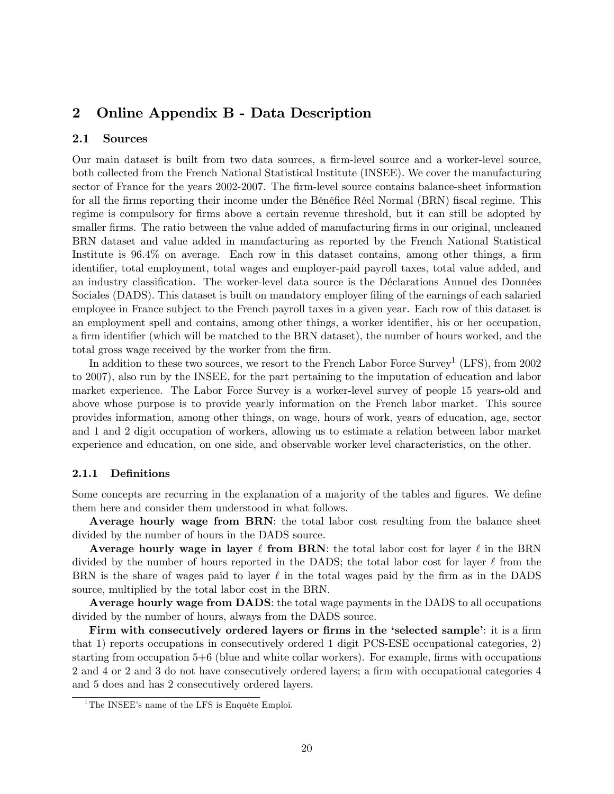## 2 Online Appendix B - Data Description

### 2.1 Sources

Our main dataset is built from two data sources, a firm-level source and a worker-level source, both collected from the French National Statistical Institute (INSEE). We cover the manufacturing sector of France for the years 2002-2007. The firm-level source contains balance-sheet information for all the firms reporting their income under the Bénéfice Réel Normal (BRN) fiscal regime. This regime is compulsory for firms above a certain revenue threshold, but it can still be adopted by smaller firms. The ratio between the value added of manufacturing firms in our original, uncleaned BRN dataset and value added in manufacturing as reported by the French National Statistical Institute is  $96.4\%$  on average. Each row in this dataset contains, among other things, a firm identifier, total employment, total wages and employer-paid payroll taxes, total value added, and an industry classification. The worker-level data source is the Déclarations Annuel des Données Sociales (DADS). This dataset is built on mandatory employer filing of the earnings of each salaried employee in France subject to the French payroll taxes in a given year. Each row of this dataset is an employment spell and contains, among other things, a worker identifier, his or her occupation, a firm identifier (which will be matched to the BRN dataset), the number of hours worked, and the total gross wage received by the worker from the firm.

In addition to these two sources, we resort to the French Labor Force Survey<sup>1</sup> (LFS), from 2002 to 2007), also run by the INSEE, for the part pertaining to the imputation of education and labor market experience. The Labor Force Survey is a worker-level survey of people 15 years-old and above whose purpose is to provide yearly information on the French labor market. This source provides information, among other things, on wage, hours of work, years of education, age, sector and 1 and 2 digit occupation of workers, allowing us to estimate a relation between labor market experience and education, on one side, and observable worker level characteristics, on the other.

### 2.1.1 Definitions

Some concepts are recurring in the explanation of a majority of the tables and figures. We define them here and consider them understood in what follows.

Average hourly wage from BRN: the total labor cost resulting from the balance sheet divided by the number of hours in the DADS source.

Average hourly wage in layer  $\ell$  from BRN: the total labor cost for layer  $\ell$  in the BRN divided by the number of hours reported in the DADS; the total labor cost for layer  $\ell$  from the BRN is the share of wages paid to layer  $\ell$  in the total wages paid by the firm as in the DADS source, multiplied by the total labor cost in the BRN.

Average hourly wage from DADS: the total wage payments in the DADS to all occupations divided by the number of hours, always from the DADS source.

Firm with consecutively ordered layers or firms in the 'selected sample': it is a firm that 1) reports occupations in consecutively ordered 1 digit PCS-ESE occupational categories, 2) starting from occupation  $5+6$  (blue and white collar workers). For example, firms with occupations 2 and 4 or 2 and 3 do not have consecutively ordered layers; a firm with occupational categories 4 and 5 does and has 2 consecutively ordered layers.

<sup>&</sup>lt;sup>1</sup>The INSEE's name of the LFS is Enquête Emploi.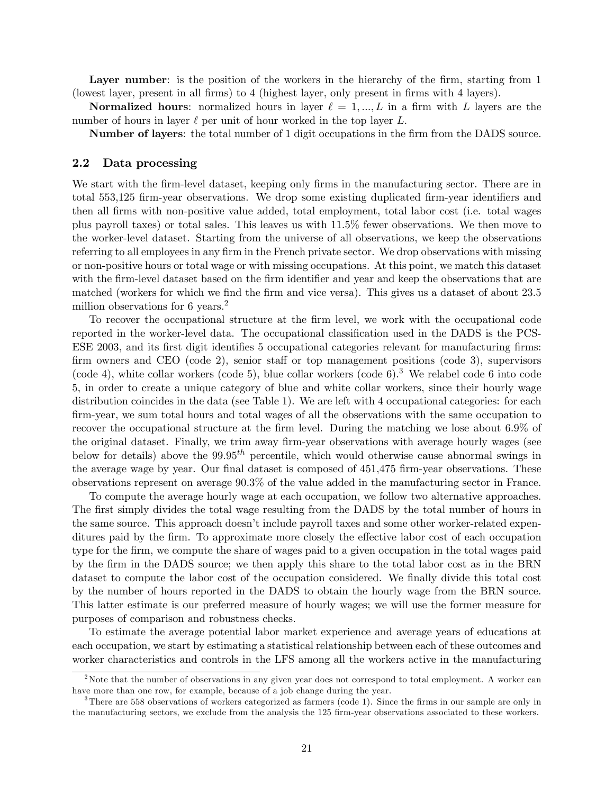Layer number: is the position of the workers in the hierarchy of the firm, starting from 1 (lowest layer, present in all firms) to 4 (highest layer, only present in firms with 4 layers).

**Normalized hours:** normalized hours in layer  $\ell = 1, ..., L$  in a firm with L layers are the number of hours in layer  $\ell$  per unit of hour worked in the top layer L.

Number of layers: the total number of 1 digit occupations in the Örm from the DADS source.

#### 2.2 Data processing

We start with the firm-level dataset, keeping only firms in the manufacturing sector. There are in total 553,125 firm-year observations. We drop some existing duplicated firm-year identifiers and then all Örms with non-positive value added, total employment, total labor cost (i.e. total wages plus payroll taxes) or total sales. This leaves us with 11.5% fewer observations. We then move to the worker-level dataset. Starting from the universe of all observations, we keep the observations referring to all employees in any firm in the French private sector. We drop observations with missing or non-positive hours or total wage or with missing occupations. At this point, we match this dataset with the firm-level dataset based on the firm identifier and year and keep the observations that are matched (workers for which we find the firm and vice versa). This gives us a dataset of about 23.5 million observations for 6 years.<sup>2</sup>

To recover the occupational structure at the Örm level, we work with the occupational code reported in the worker-level data. The occupational classification used in the DADS is the PCS-ESE 2003, and its first digit identifies 5 occupational categories relevant for manufacturing firms: firm owners and CEO (code 2), senior staff or top management positions (code 3), supervisors (code 4), white collar workers (code 5), blue collar workers (code 6).<sup>3</sup> We relabel code 6 into code 5, in order to create a unique category of blue and white collar workers, since their hourly wage distribution coincides in the data (see Table 1). We are left with 4 occupational categories: for each Örm-year, we sum total hours and total wages of all the observations with the same occupation to recover the occupational structure at the firm level. During the matching we lose about 6.9% of the original dataset. Finally, we trim away firm-year observations with average hourly wages (see below for details) above the  $99.95<sup>th</sup>$  percentile, which would otherwise cause abnormal swings in the average wage by year. Our final dataset is composed of 451,475 firm-year observations. These observations represent on average 90.3% of the value added in the manufacturing sector in France.

To compute the average hourly wage at each occupation, we follow two alternative approaches. The first simply divides the total wage resulting from the DADS by the total number of hours in the same source. This approach doesn't include payroll taxes and some other worker-related expenditures paid by the firm. To approximate more closely the effective labor cost of each occupation type for the firm, we compute the share of wages paid to a given occupation in the total wages paid by the Örm in the DADS source; we then apply this share to the total labor cost as in the BRN dataset to compute the labor cost of the occupation considered. We finally divide this total cost by the number of hours reported in the DADS to obtain the hourly wage from the BRN source. This latter estimate is our preferred measure of hourly wages; we will use the former measure for purposes of comparison and robustness checks.

To estimate the average potential labor market experience and average years of educations at each occupation, we start by estimating a statistical relationship between each of these outcomes and worker characteristics and controls in the LFS among all the workers active in the manufacturing

<sup>&</sup>lt;sup>2</sup>Note that the number of observations in any given year does not correspond to total employment. A worker can have more than one row, for example, because of a job change during the year.

 $3$ There are 558 observations of workers categorized as farmers (code 1). Since the firms in our sample are only in the manufacturing sectors, we exclude from the analysis the 125 firm-year observations associated to these workers.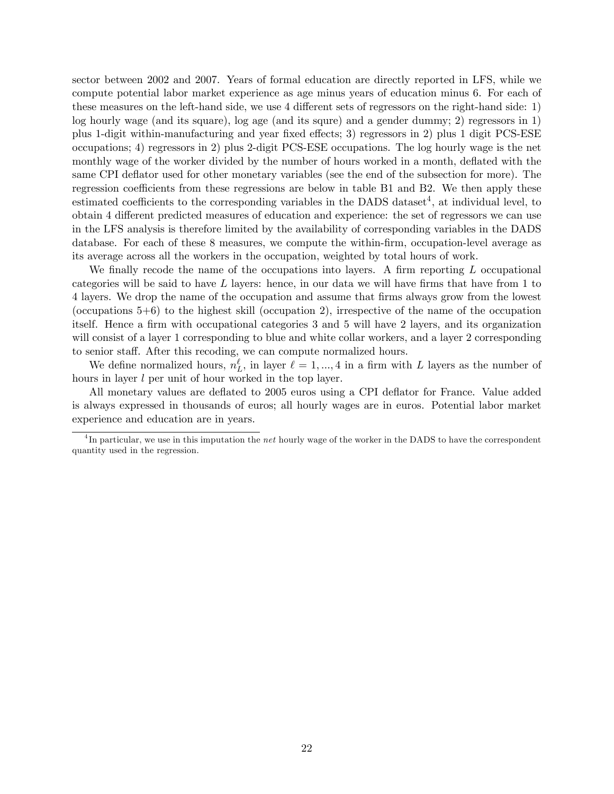sector between 2002 and 2007. Years of formal education are directly reported in LFS, while we compute potential labor market experience as age minus years of education minus 6. For each of these measures on the left-hand side, we use 4 different sets of regressors on the right-hand side: 1) log hourly wage (and its square), log age (and its squre) and a gender dummy; 2) regressors in 1) plus 1-digit within-manufacturing and year fixed effects; 3) regressors in 2) plus 1 digit PCS-ESE occupations; 4) regressors in 2) plus 2-digit PCS-ESE occupations. The log hourly wage is the net monthly wage of the worker divided by the number of hours worked in a month, deflated with the same CPI deflator used for other monetary variables (see the end of the subsection for more). The regression coefficients from these regressions are below in table B1 and B2. We then apply these estimated coefficients to the corresponding variables in the DADS dataset<sup>4</sup>, at individual level, to obtain 4 different predicted measures of education and experience: the set of regressors we can use in the LFS analysis is therefore limited by the availability of corresponding variables in the DADS database. For each of these 8 measures, we compute the within-firm, occupation-level average as its average across all the workers in the occupation, weighted by total hours of work.

We finally recode the name of the occupations into layers. A firm reporting  $L$  occupational categories will be said to have  $L$  layers: hence, in our data we will have firms that have from 1 to 4 layers. We drop the name of the occupation and assume that Örms always grow from the lowest (occupations  $5+6$ ) to the highest skill (occupation 2), irrespective of the name of the occupation itself. Hence a firm with occupational categories 3 and 5 will have 2 layers, and its organization will consist of a layer 1 corresponding to blue and white collar workers, and a layer 2 corresponding to senior staff. After this recoding, we can compute normalized hours.

We define normalized hours,  $n_L^{\ell}$ , in layer  $\ell = 1, ..., 4$  in a firm with L layers as the number of hours in layer *l* per unit of hour worked in the top layer.

All monetary values are deflated to 2005 euros using a CPI deflator for France. Value added is always expressed in thousands of euros; all hourly wages are in euros. Potential labor market experience and education are in years.

<sup>&</sup>lt;sup>4</sup>In particular, we use in this imputation the net hourly wage of the worker in the DADS to have the correspondent quantity used in the regression.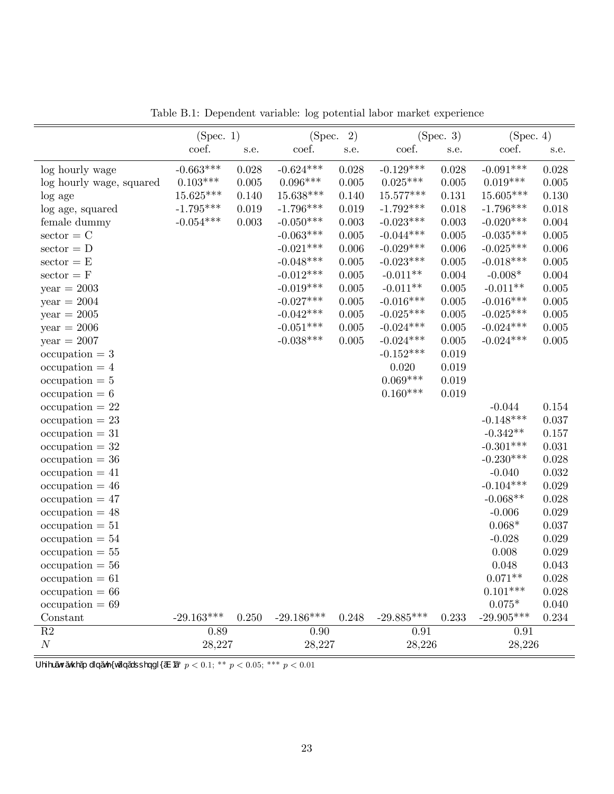|                            | (Spec. 1)    |       | 2)<br>(Spec. |       |              | (Spec. 3) | (Spec. 4)    |           |
|----------------------------|--------------|-------|--------------|-------|--------------|-----------|--------------|-----------|
|                            | coef.        | s.e.  | coef.        | s.e.  | coef.        | s.e.      | coef.        | s.e.      |
| log hourly wage            | $-0.663***$  | 0.028 | $-0.624***$  | 0.028 | $-0.129***$  | 0.028     | $-0.091***$  | 0.028     |
| log hourly wage, squared   | $0.103***$   | 0.005 | $0.096***$   | 0.005 | $0.025***$   | $0.005\,$ | $0.019***$   | 0.005     |
| log age                    | 15.625***    | 0.140 | 15.638***    | 0.140 | 15.577***    | 0.131     | 15.605***    | 0.130     |
| log age, squared           | $-1.795***$  | 0.019 | $-1.796***$  | 0.019 | $-1.792***$  | 0.018     | $-1.796***$  | 0.018     |
| female dummy               | $-0.054***$  | 0.003 | $-0.050***$  | 0.003 | $-0.023***$  | 0.003     | $-0.020***$  | 0.004     |
| $\text{sector} = C$        |              |       | $-0.063***$  | 0.005 | $-0.044***$  | 0.005     | $-0.035***$  | 0.005     |
| $\text{sector} = D$        |              |       | $-0.021***$  | 0.006 | $-0.029***$  | 0.006     | $-0.025***$  | 0.006     |
| $\text{sector} = \text{E}$ |              |       | $-0.048***$  | 0.005 | $-0.023***$  | 0.005     | $-0.018***$  | $0.005\,$ |
| $\text{sector} = \text{F}$ |              |       | $-0.012***$  | 0.005 | $-0.011**$   | $0.004\,$ | $-0.008*$    | 0.004     |
| $year = 2003$              |              |       | $-0.019***$  | 0.005 | $-0.011**$   | $0.005\,$ | $-0.011**$   | $0.005\,$ |
| $year = 2004$              |              |       | $-0.027***$  | 0.005 | $-0.016***$  | 0.005     | $-0.016***$  | $0.005\,$ |
| $year = 2005$              |              |       | $-0.042***$  | 0.005 | $-0.025***$  | 0.005     | $-0.025***$  | $0.005\,$ |
| $year = 2006$              |              |       | $-0.051***$  | 0.005 | $-0.024***$  | 0.005     | $-0.024***$  | $0.005\,$ |
| $year = 2007$              |              |       | $-0.038***$  | 0.005 | $-0.024***$  | 0.005     | $-0.024***$  | $0.005\,$ |
| $occupation = 3$           |              |       |              |       | $-0.152***$  | 0.019     |              |           |
| $occupation = 4$           |              |       |              |       | 0.020        | 0.019     |              |           |
| $\mathrm{occupation} = 5$  |              |       |              |       | $0.069***$   | 0.019     |              |           |
| $occupation = 6$           |              |       |              |       | $0.160***$   | 0.019     |              |           |
| $\mathrm{occupation} = 22$ |              |       |              |       |              |           | $-0.044$     | 0.154     |
| $\mathrm{occupation} = 23$ |              |       |              |       |              |           | $-0.148***$  | 0.037     |
| $occupation = 31$          |              |       |              |       |              |           | $-0.342**$   | 0.157     |
| $\mathrm{occupation} = 32$ |              |       |              |       |              |           | $-0.301***$  | 0.031     |
| $occupation = 36$          |              |       |              |       |              |           | $-0.230***$  | 0.028     |
| $occupation = 41$          |              |       |              |       |              |           | $-0.040$     | 0.032     |
| $occupation = 46$          |              |       |              |       |              |           | $-0.104***$  | 0.029     |
| $occupation = 47$          |              |       |              |       |              |           | $-0.068**$   | 0.028     |
| $occupation = 48$          |              |       |              |       |              |           | $-0.006$     | 0.029     |
| $\mathrm{occupation} = 51$ |              |       |              |       |              |           | $0.068*$     | 0.037     |
| $occupation = 54$          |              |       |              |       |              |           | $-0.028$     | 0.029     |
| $occupation = 55$          |              |       |              |       |              |           | 0.008        | 0.029     |
| $occupation = 56$          |              |       |              |       |              |           | 0.048        | 0.043     |
| $occupation = 61$          |              |       |              |       |              |           | $0.071**$    | 0.028     |
| $occupation = 66$          |              |       |              |       |              |           | $0.101***$   | 0.028     |
| $occupation = 69$          |              |       |              |       |              |           | $0.075*$     | 0.040     |
| Constant                   | $-29.163***$ | 0.250 | $-29.186***$ | 0.248 | $-29.885***$ | 0.233     | $-29.905***$ | 0.234     |
| $\overline{R2}$            | 0.89         |       | 0.90         |       | 0.91         |           | 0.91         |           |
| $\cal N$                   | 28,227       |       | 28,227       |       | 28,226       |           | 28,226       |           |

Table B.1: Dependent variable: log potential labor market experience

 $\overline{f \text{ yzy}^{\widehat{\phantom{a}}}}\tilde{\phantom{a}}\tilde{\phantom{a}}\tilde{\phantom{a}}\tilde{\phantom{a}}\tilde{\phantom{a}}\tilde{\phantom{a}}\tilde{\phantom{a}}\tilde{\phantom{a}}\tilde{\phantom{a}}\tilde{\phantom{a}}\tilde{\phantom{a}}\tilde{\phantom{a}}\tilde{\phantom{a}}\tilde{\phantom{a}}\tilde{\phantom{a}}\tilde{\phantom{a}}\tilde{\phantom{a}}\tilde{\phantom{a}}\tilde{\phantom{a}}\tilde{\phantom{a}}\tilde{\phantom{a}}\tilde{\phantom{a}}$